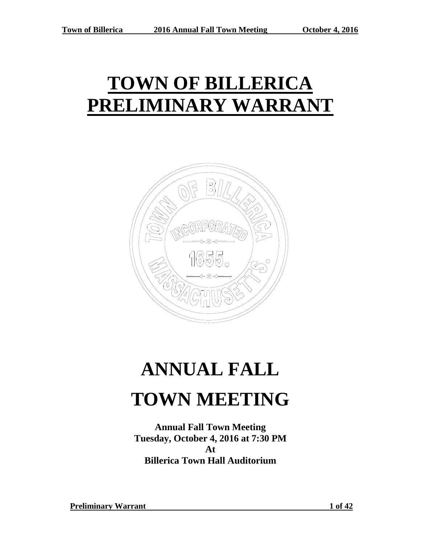# **TOWN OF BILLERICA PRELIMINARY WARRANT**



# **ANNUAL FALL TOWN MEETING**

**Annual Fall Town Meeting Tuesday, October 4, 2016 at 7:30 PM At Billerica Town Hall Auditorium**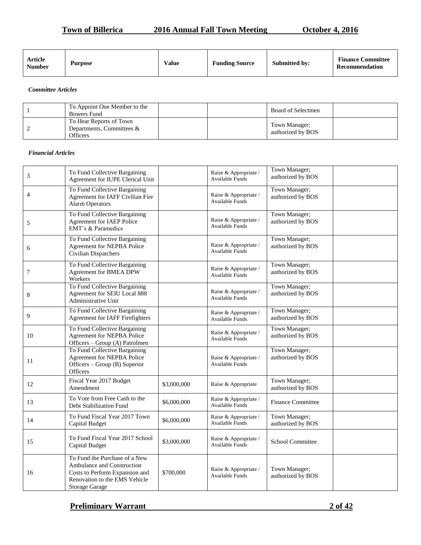# **Town of Billerica** 2016 Annual Fall Town Meeting October 4, 2016

| Article<br><b>Number</b> | Purpose | Value | <b>Funding Source</b> | <b>Submitted by:</b> | <b>Finance Committee</b><br><b>Recommendation</b> |
|--------------------------|---------|-------|-----------------------|----------------------|---------------------------------------------------|
|--------------------------|---------|-------|-----------------------|----------------------|---------------------------------------------------|

*Committee Articles* 

| To Appoint One Member to the<br>Bowers Fund                      |  | Board of Selectmen                 |  |
|------------------------------------------------------------------|--|------------------------------------|--|
| To Hear Reports of Town<br>Departments, Committees &<br>Officers |  | Town Manager;<br>authorized by BOS |  |

#### *Financial Articles*

| $\mathfrak 3$  | To Fund Collective Bargaining<br>Agreement for IUPE Clerical Unit                                                                                       |             | Raise & Appropriate /<br>Available Funds        | Town Manager;<br>authorized by BOS |  |
|----------------|---------------------------------------------------------------------------------------------------------------------------------------------------------|-------------|-------------------------------------------------|------------------------------------|--|
| $\overline{4}$ | To Fund Collective Bargaining<br>Agreement for IAFF Civilian Fire<br><b>Alarm Operators</b>                                                             |             | Raise & Appropriate /<br><b>Available Funds</b> | Town Manager;<br>authorized by BOS |  |
| 5              | To Fund Collective Bargaining<br>Agreement for IAEP Police<br>EMT's & Paramedics                                                                        |             | Raise & Appropriate /<br><b>Available Funds</b> | Town Manager;<br>authorized by BOS |  |
| 6              | To Fund Collective Bargaining<br>Agreement for NEPBA Police<br>Civilian Dispatchers                                                                     |             | Raise & Appropriate /<br>Available Funds        | Town Manager;<br>authorized by BOS |  |
| $\overline{7}$ | To Fund Collective Bargaining<br>Agreement for BMEA DPW<br>Workers                                                                                      |             | Raise & Appropriate /<br>Available Funds        | Town Manager;<br>authorized by BOS |  |
| 8              | To Fund Collective Bargaining<br>Agreement for SEIU Local 888<br>Administrative Unit                                                                    |             | Raise & Appropriate /<br><b>Available Funds</b> | Town Manager;<br>authorized by BOS |  |
| 9              | To Fund Collective Bargaining<br>Agreement for IAFF Firefighters                                                                                        |             | Raise & Appropriate /<br>Available Funds        | Town Manager;<br>authorized by BOS |  |
| 10             | To Fund Collective Bargaining<br>Agreement for NEPBA Police<br>Officers - Group (A) Patrolmen                                                           |             | Raise & Appropriate /<br>Available Funds        | Town Manager;<br>authorized by BOS |  |
| 11             | To Fund Collective Bargaining<br>Agreement for NEPBA Police<br>Officers - Group (B) Superior<br><b>Officers</b>                                         |             | Raise & Appropriate /<br><b>Available Funds</b> | Town Manager;<br>authorized by BOS |  |
| 12             | Fiscal Year 2017 Budget<br>Amendment                                                                                                                    | \$3,000,000 | Raise & Appropriate                             | Town Manager;<br>authorized by BOS |  |
| 13             | To Vote from Free Cash to the<br>Debt Stabilization Fund                                                                                                | \$6,000,000 | Raise & Appropriate /<br>Available Funds        | Finance Committee                  |  |
| 14             | To Fund Fiscal Year 2017 Town<br>Capital Budget                                                                                                         | \$6,000,000 | Raise & Appropriate /<br><b>Available Funds</b> | Town Manager;<br>authorized by BOS |  |
| 15             | To Fund Fiscal Year 2017 School<br>Capital Budget                                                                                                       | \$3,000,000 | Raise & Appropriate /<br>Available Funds        | <b>School Committee</b>            |  |
| 16             | To Fund the Purchase of a New<br>Ambulance and Construction<br>Costs to Perform Expansion and<br>Renovation to the EMS Vehicle<br><b>Storage Garage</b> | \$700,000   | Raise & Appropriate /<br><b>Available Funds</b> | Town Manager;<br>authorized by BOS |  |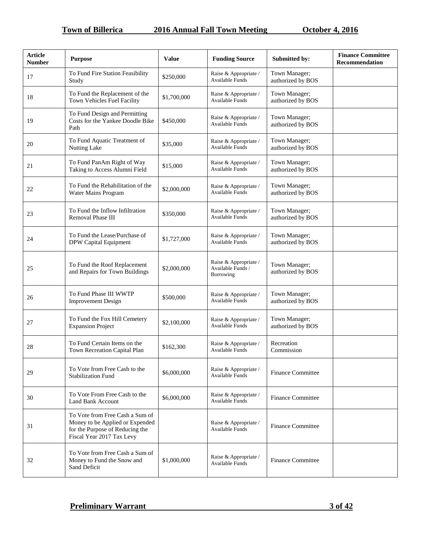| <b>Article</b><br><b>Number</b> | <b>Purpose</b>                                                                                                                     | <b>Value</b> | <b>Funding Source</b>                                   | Submitted by:                      | <b>Finance Committee</b><br><b>Recommendation</b> |
|---------------------------------|------------------------------------------------------------------------------------------------------------------------------------|--------------|---------------------------------------------------------|------------------------------------|---------------------------------------------------|
| 17                              | To Fund Fire Station Feasibility<br>Study                                                                                          | \$250,000    | Raise & Appropriate /<br>Available Funds                | Town Manager;<br>authorized by BOS |                                                   |
| 18                              | To Fund the Replacement of the<br>Town Vehicles Fuel Facility                                                                      | \$1,700,000  | Raise & Appropriate /<br>Available Funds                | Town Manager;<br>authorized by BOS |                                                   |
| 19                              | To Fund Design and Permitting<br>Costs for the Yankee Doodle Bike<br>Path                                                          | \$450,000    | Raise & Appropriate /<br><b>Available Funds</b>         | Town Manager;<br>authorized by BOS |                                                   |
| 20                              | To Fund Aquatic Treatment of<br><b>Nutting Lake</b>                                                                                | \$35,000     | Raise & Appropriate /<br><b>Available Funds</b>         | Town Manager;<br>authorized by BOS |                                                   |
| 21                              | To Fund PanAm Right of Way<br>Taking to Access Alumni Field                                                                        | \$15,000     | Raise & Appropriate /<br>Available Funds                | Town Manager;<br>authorized by BOS |                                                   |
| 22                              | To Fund the Rehabilitation of the<br>Water Mains Program                                                                           | \$2,000,000  | Raise & Appropriate /<br><b>Available Funds</b>         | Town Manager;<br>authorized by BOS |                                                   |
| 23                              | To Fund the Inflow Infiltration<br>Removal Phase III                                                                               | \$350,000    | Raise & Appropriate /<br>Available Funds                | Town Manager;<br>authorized by BOS |                                                   |
| 24                              | To Fund the Lease/Purchase of<br>DPW Capital Equipment                                                                             | \$1,727,000  | Raise & Appropriate /<br><b>Available Funds</b>         | Town Manager;<br>authorized by BOS |                                                   |
| 25                              | To Fund the Roof Replacement<br>and Repairs for Town Buildings                                                                     | \$2,000,000  | Raise & Appropriate /<br>Available Funds /<br>Borrowing | Town Manager;<br>authorized by BOS |                                                   |
| 26                              | To Fund Phase III WWTP<br><b>Improvement Design</b>                                                                                | \$500,000    | Raise & Appropriate /<br>Available Funds                | Town Manager;<br>authorized by BOS |                                                   |
| 27                              | To Fund the Fox Hill Cemetery<br><b>Expansion Project</b>                                                                          | \$2,100,000  | Raise & Appropriate /<br><b>Available Funds</b>         | Town Manager;<br>authorized by BOS |                                                   |
| 28                              | To Fund Certain Items on the<br>Town Recreation Capital Plan                                                                       | \$162,300    | Raise & Appropriate /<br>Available Funds                | Recreation<br>Commission           |                                                   |
| 29                              | To Vote from Free Cash to the<br><b>Stabilization Fund</b>                                                                         | \$6,000,000  | Raise & Appropriate /<br>Available Funds                | <b>Finance Committee</b>           |                                                   |
| 30                              | To Vote From Free Cash to the<br><b>Land Bank Account</b>                                                                          | \$6,000,000  | Raise & Appropriate /<br><b>Available Funds</b>         | Finance Committee                  |                                                   |
| 31                              | To Vote from Free Cash a Sum of<br>Money to be Applied or Expended<br>for the Purpose of Reducing the<br>Fiscal Year 2017 Tax Levy |              | Raise & Appropriate /<br>Available Funds                | <b>Finance Committee</b>           |                                                   |
| 32                              | To Vote from Free Cash a Sum of<br>Money to Fund the Snow and<br>Sand Deficit                                                      | \$1,000,000  | Raise & Appropriate /<br>Available Funds                | Finance Committee                  |                                                   |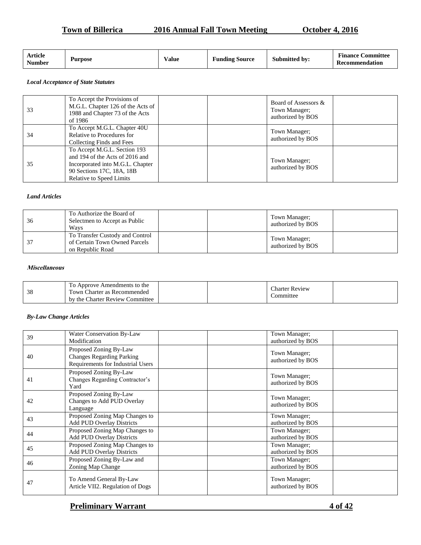# **Town of Billerica** 2016 Annual Fall Town Meeting October 4, 2016

#### *Local Acceptance of State Statutes*

| 33 | To Accept the Provisions of<br>M.G.L. Chapter 126 of the Acts of<br>1988 and Chapter 73 of the Acts<br>of 1986                                                      | Board of Assessors &<br>Town Manager;<br>authorized by BOS |  |
|----|---------------------------------------------------------------------------------------------------------------------------------------------------------------------|------------------------------------------------------------|--|
| 34 | To Accept M.G.L. Chapter 40U<br>Relative to Procedures for<br>Collecting Finds and Fees                                                                             | Town Manager;<br>authorized by BOS                         |  |
| 35 | To Accept M.G.L. Section 193<br>and 194 of the Acts of 2016 and<br>Incorporated into M.G.L. Chapter<br>90 Sections 17C, 18A, 18B<br><b>Relative to Speed Limits</b> | Town Manager;<br>authorized by BOS                         |  |

#### *Land Articles*

| 36 | To Authorize the Board of<br>Selectmen to Accept as Public<br>Ways                   | Town Manager;<br>authorized by BOS |  |
|----|--------------------------------------------------------------------------------------|------------------------------------|--|
|    | To Transfer Custody and Control<br>of Certain Town Owned Parcels<br>on Republic Road | Town Manager;<br>authorized by BOS |  |

#### **Miscellaneous**

| 38 | To Approve Amendments to the<br>Town Charter as Recommended<br>by the Charter Review Committee |  |  | <b>Charter Review</b><br>∠ommittee |  |
|----|------------------------------------------------------------------------------------------------|--|--|------------------------------------|--|
|----|------------------------------------------------------------------------------------------------|--|--|------------------------------------|--|

#### *By-Law Change Articles*

| 39 | Water Conservation By-Law<br>Modification                                                       | Town Manager;<br>authorized by BOS |
|----|-------------------------------------------------------------------------------------------------|------------------------------------|
| 40 | Proposed Zoning By-Law<br><b>Changes Regarding Parking</b><br>Requirements for Industrial Users | Town Manager;<br>authorized by BOS |
| 41 | Proposed Zoning By-Law<br>Changes Regarding Contractor's<br>Yard                                | Town Manager;<br>authorized by BOS |
| 42 | Proposed Zoning By-Law<br>Changes to Add PUD Overlay<br>Language                                | Town Manager;<br>authorized by BOS |
| 43 | Proposed Zoning Map Changes to<br><b>Add PUD Overlay Districts</b>                              | Town Manager;<br>authorized by BOS |
| 44 | Proposed Zoning Map Changes to<br><b>Add PUD Overlay Districts</b>                              | Town Manager;<br>authorized by BOS |
| 45 | Proposed Zoning Map Changes to<br><b>Add PUD Overlay Districts</b>                              | Town Manager;<br>authorized by BOS |
| 46 | Proposed Zoning By-Law and<br>Zoning Map Change                                                 | Town Manager;<br>authorized by BOS |
| 47 | To Amend General By-Law<br>Article VII2. Regulation of Dogs                                     | Town Manager;<br>authorized by BOS |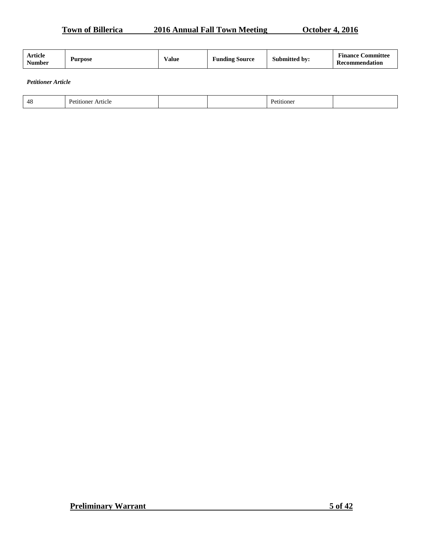**Town of Billerica** 2016 Annual Fall Town Meeting October 4, 2016

| Article<br>⁄ alue<br>Purpose<br>Number | $\sim$<br>Source<br>Funding | Submitted<br>.bv: | --<br>.`ommittee<br>Fınance<br>Recommendation |
|----------------------------------------|-----------------------------|-------------------|-----------------------------------------------|
|----------------------------------------|-----------------------------|-------------------|-----------------------------------------------|

*Petitioner Article*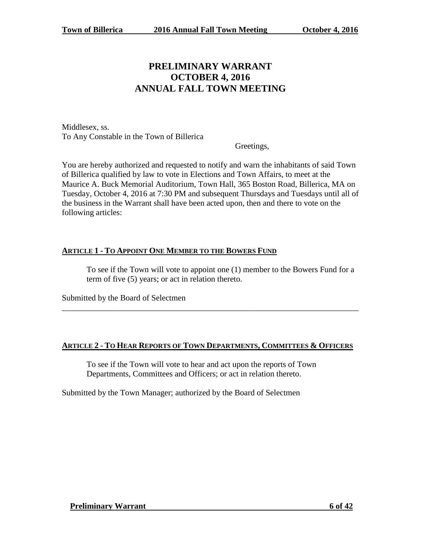# **PRELIMINARY WARRANT OCTOBER 4, 2016 ANNUAL FALL TOWN MEETING**

Middlesex, ss. To Any Constable in the Town of Billerica

Greetings,

You are hereby authorized and requested to notify and warn the inhabitants of said Town of Billerica qualified by law to vote in Elections and Town Affairs, to meet at the Maurice A. Buck Memorial Auditorium, Town Hall, 365 Boston Road, Billerica, MA on Tuesday, October 4, 2016 at 7:30 PM and subsequent Thursdays and Tuesdays until all of the business in the Warrant shall have been acted upon, then and there to vote on the following articles:

# **ARTICLE 1 - TO APPOINT ONE MEMBER TO THE BOWERS FUND**

To see if the Town will vote to appoint one (1) member to the Bowers Fund for a term of five (5) years; or act in relation thereto.

Submitted by the Board of Selectmen

# **ARTICLE 2 - TO HEAR REPORTS OF TOWN DEPARTMENTS, COMMITTEES & OFFICERS**

\_\_\_\_\_\_\_\_\_\_\_\_\_\_\_\_\_\_\_\_\_\_\_\_\_\_\_\_\_\_\_\_\_\_\_\_\_\_\_\_\_\_\_\_\_\_\_\_\_\_\_\_\_\_\_\_\_\_\_\_\_\_\_\_\_\_\_\_\_\_\_\_

To see if the Town will vote to hear and act upon the reports of Town Departments, Committees and Officers; or act in relation thereto.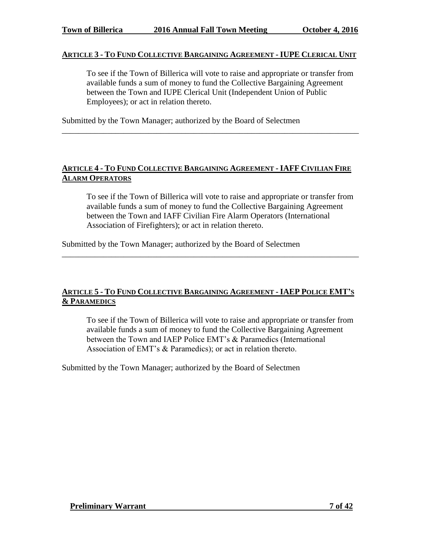#### **ARTICLE 3 - TO FUND COLLECTIVE BARGAINING AGREEMENT - IUPE CLERICAL UNIT**

To see if the Town of Billerica will vote to raise and appropriate or transfer from available funds a sum of money to fund the Collective Bargaining Agreement between the Town and IUPE Clerical Unit (Independent Union of Public Employees); or act in relation thereto.

Submitted by the Town Manager; authorized by the Board of Selectmen

# **ARTICLE 4 - TO FUND COLLECTIVE BARGAINING AGREEMENT - IAFF CIVILIAN FIRE ALARM OPERATORS**

\_\_\_\_\_\_\_\_\_\_\_\_\_\_\_\_\_\_\_\_\_\_\_\_\_\_\_\_\_\_\_\_\_\_\_\_\_\_\_\_\_\_\_\_\_\_\_\_\_\_\_\_\_\_\_\_\_\_\_\_\_\_\_\_\_\_\_\_\_\_\_\_

To see if the Town of Billerica will vote to raise and appropriate or transfer from available funds a sum of money to fund the Collective Bargaining Agreement between the Town and IAFF Civilian Fire Alarm Operators (International Association of Firefighters); or act in relation thereto.

Submitted by the Town Manager; authorized by the Board of Selectmen

# **ARTICLE 5 - TO FUND COLLECTIVE BARGAINING AGREEMENT - IAEP POLICE EMT'S & PARAMEDICS**

\_\_\_\_\_\_\_\_\_\_\_\_\_\_\_\_\_\_\_\_\_\_\_\_\_\_\_\_\_\_\_\_\_\_\_\_\_\_\_\_\_\_\_\_\_\_\_\_\_\_\_\_\_\_\_\_\_\_\_\_\_\_\_\_\_\_\_\_\_\_\_\_

To see if the Town of Billerica will vote to raise and appropriate or transfer from available funds a sum of money to fund the Collective Bargaining Agreement between the Town and IAEP Police EMT's & Paramedics (International Association of EMT's & Paramedics); or act in relation thereto.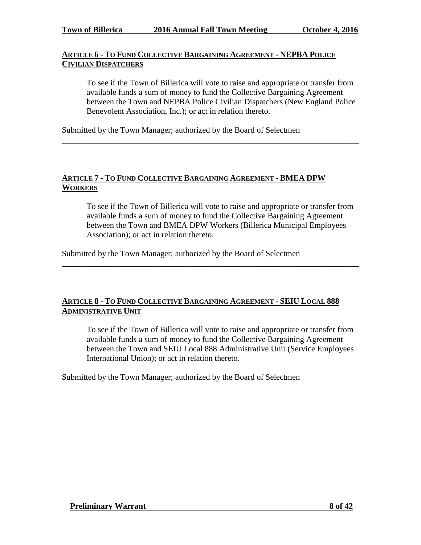# **ARTICLE 6 - TO FUND COLLECTIVE BARGAINING AGREEMENT - NEPBA POLICE CIVILIAN DISPATCHERS**

To see if the Town of Billerica will vote to raise and appropriate or transfer from available funds a sum of money to fund the Collective Bargaining Agreement between the Town and NEPBA Police Civilian Dispatchers (New England Police Benevolent Association, Inc.); or act in relation thereto.

\_\_\_\_\_\_\_\_\_\_\_\_\_\_\_\_\_\_\_\_\_\_\_\_\_\_\_\_\_\_\_\_\_\_\_\_\_\_\_\_\_\_\_\_\_\_\_\_\_\_\_\_\_\_\_\_\_\_\_\_\_\_\_\_\_\_\_\_\_\_\_\_

Submitted by the Town Manager; authorized by the Board of Selectmen

# **ARTICLE 7 - TO FUND COLLECTIVE BARGAINING AGREEMENT - BMEA DPW WORKERS**

To see if the Town of Billerica will vote to raise and appropriate or transfer from available funds a sum of money to fund the Collective Bargaining Agreement between the Town and BMEA DPW Workers (Billerica Municipal Employees Association); or act in relation thereto.

Submitted by the Town Manager; authorized by the Board of Selectmen

# **ARTICLE 8 - TO FUND COLLECTIVE BARGAINING AGREEMENT - SEIU LOCAL 888 ADMINISTRATIVE UNIT**

\_\_\_\_\_\_\_\_\_\_\_\_\_\_\_\_\_\_\_\_\_\_\_\_\_\_\_\_\_\_\_\_\_\_\_\_\_\_\_\_\_\_\_\_\_\_\_\_\_\_\_\_\_\_\_\_\_\_\_\_\_\_\_\_\_\_\_\_\_\_\_\_

To see if the Town of Billerica will vote to raise and appropriate or transfer from available funds a sum of money to fund the Collective Bargaining Agreement between the Town and SEIU Local 888 Administrative Unit (Service Employees International Union); or act in relation thereto.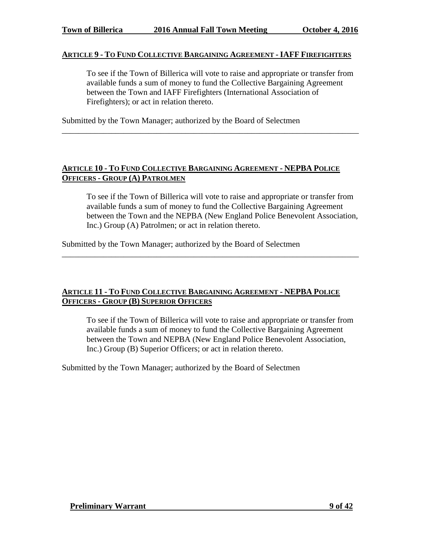#### **ARTICLE 9 - TO FUND COLLECTIVE BARGAINING AGREEMENT - IAFF FIREFIGHTERS**

To see if the Town of Billerica will vote to raise and appropriate or transfer from available funds a sum of money to fund the Collective Bargaining Agreement between the Town and IAFF Firefighters (International Association of Firefighters); or act in relation thereto.

Submitted by the Town Manager; authorized by the Board of Selectmen

#### **ARTICLE 10 - TO FUND COLLECTIVE BARGAINING AGREEMENT - NEPBA POLICE OFFICERS - GROUP (A) PATROLMEN**

\_\_\_\_\_\_\_\_\_\_\_\_\_\_\_\_\_\_\_\_\_\_\_\_\_\_\_\_\_\_\_\_\_\_\_\_\_\_\_\_\_\_\_\_\_\_\_\_\_\_\_\_\_\_\_\_\_\_\_\_\_\_\_\_\_\_\_\_\_\_\_\_

To see if the Town of Billerica will vote to raise and appropriate or transfer from available funds a sum of money to fund the Collective Bargaining Agreement between the Town and the NEPBA (New England Police Benevolent Association, Inc.) Group (A) Patrolmen; or act in relation thereto.

Submitted by the Town Manager; authorized by the Board of Selectmen

# **ARTICLE 11 - TO FUND COLLECTIVE BARGAINING AGREEMENT - NEPBA POLICE OFFICERS - GROUP (B) SUPERIOR OFFICERS**

\_\_\_\_\_\_\_\_\_\_\_\_\_\_\_\_\_\_\_\_\_\_\_\_\_\_\_\_\_\_\_\_\_\_\_\_\_\_\_\_\_\_\_\_\_\_\_\_\_\_\_\_\_\_\_\_\_\_\_\_\_\_\_\_\_\_\_\_\_\_\_\_

To see if the Town of Billerica will vote to raise and appropriate or transfer from available funds a sum of money to fund the Collective Bargaining Agreement between the Town and NEPBA (New England Police Benevolent Association, Inc.) Group (B) Superior Officers; or act in relation thereto.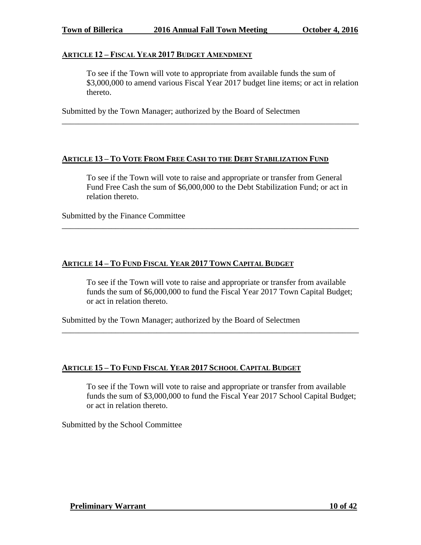#### **ARTICLE 12 – FISCAL YEAR 2017 BUDGET AMENDMENT**

To see if the Town will vote to appropriate from available funds the sum of \$3,000,000 to amend various Fiscal Year 2017 budget line items; or act in relation thereto.

\_\_\_\_\_\_\_\_\_\_\_\_\_\_\_\_\_\_\_\_\_\_\_\_\_\_\_\_\_\_\_\_\_\_\_\_\_\_\_\_\_\_\_\_\_\_\_\_\_\_\_\_\_\_\_\_\_\_\_\_\_\_\_\_\_\_\_\_\_\_\_\_

Submitted by the Town Manager; authorized by the Board of Selectmen

#### **ARTICLE 13 – TO VOTE FROM FREE CASH TO THE DEBT STABILIZATION FUND**

To see if the Town will vote to raise and appropriate or transfer from General Fund Free Cash the sum of \$6,000,000 to the Debt Stabilization Fund; or act in relation thereto.

\_\_\_\_\_\_\_\_\_\_\_\_\_\_\_\_\_\_\_\_\_\_\_\_\_\_\_\_\_\_\_\_\_\_\_\_\_\_\_\_\_\_\_\_\_\_\_\_\_\_\_\_\_\_\_\_\_\_\_\_\_\_\_\_\_\_\_\_\_\_\_\_

Submitted by the Finance Committee

# **ARTICLE 14 – TO FUND FISCAL YEAR 2017 TOWN CAPITAL BUDGET**

To see if the Town will vote to raise and appropriate or transfer from available funds the sum of \$6,000,000 to fund the Fiscal Year 2017 Town Capital Budget; or act in relation thereto.

\_\_\_\_\_\_\_\_\_\_\_\_\_\_\_\_\_\_\_\_\_\_\_\_\_\_\_\_\_\_\_\_\_\_\_\_\_\_\_\_\_\_\_\_\_\_\_\_\_\_\_\_\_\_\_\_\_\_\_\_\_\_\_\_\_\_\_\_\_\_\_\_

Submitted by the Town Manager; authorized by the Board of Selectmen

# **ARTICLE 15 – TO FUND FISCAL YEAR 2017 SCHOOL CAPITAL BUDGET**

To see if the Town will vote to raise and appropriate or transfer from available funds the sum of \$3,000,000 to fund the Fiscal Year 2017 School Capital Budget; or act in relation thereto.

Submitted by the School Committee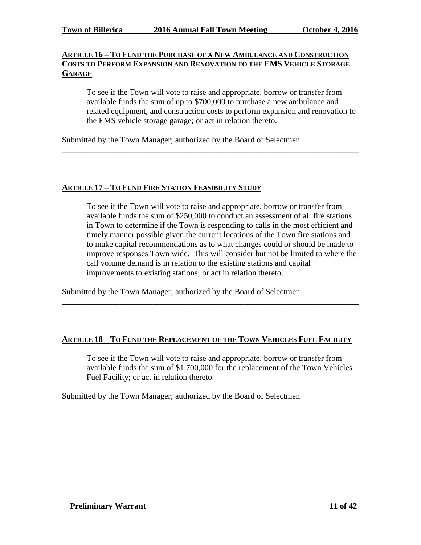# **ARTICLE 16 – TO FUND THE PURCHASE OF A NEW AMBULANCE AND CONSTRUCTION COSTS TO PERFORM EXPANSION AND RENOVATION TO THE EMS VEHICLE STORAGE GARAGE**

To see if the Town will vote to raise and appropriate, borrow or transfer from available funds the sum of up to \$700,000 to purchase a new ambulance and related equipment, and construction costs to perform expansion and renovation to the EMS vehicle storage garage; or act in relation thereto.

\_\_\_\_\_\_\_\_\_\_\_\_\_\_\_\_\_\_\_\_\_\_\_\_\_\_\_\_\_\_\_\_\_\_\_\_\_\_\_\_\_\_\_\_\_\_\_\_\_\_\_\_\_\_\_\_\_\_\_\_\_\_\_\_\_\_\_\_\_\_\_\_

Submitted by the Town Manager; authorized by the Board of Selectmen

# **ARTICLE 17 – TO FUND FIRE STATION FEASIBILITY STUDY**

To see if the Town will vote to raise and appropriate, borrow or transfer from available funds the sum of \$250,000 to conduct an assessment of all fire stations in Town to determine if the Town is responding to calls in the most efficient and timely manner possible given the current locations of the Town fire stations and to make capital recommendations as to what changes could or should be made to improve responses Town wide. This will consider but not be limited to where the call volume demand is in relation to the existing stations and capital improvements to existing stations; or act in relation thereto.

Submitted by the Town Manager; authorized by the Board of Selectmen

#### **ARTICLE 18 – TO FUND THE REPLACEMENT OF THE TOWN VEHICLES FUEL FACILITY**

\_\_\_\_\_\_\_\_\_\_\_\_\_\_\_\_\_\_\_\_\_\_\_\_\_\_\_\_\_\_\_\_\_\_\_\_\_\_\_\_\_\_\_\_\_\_\_\_\_\_\_\_\_\_\_\_\_\_\_\_\_\_\_\_\_\_\_\_\_\_\_\_

To see if the Town will vote to raise and appropriate, borrow or transfer from available funds the sum of \$1,700,000 for the replacement of the Town Vehicles Fuel Facility; or act in relation thereto.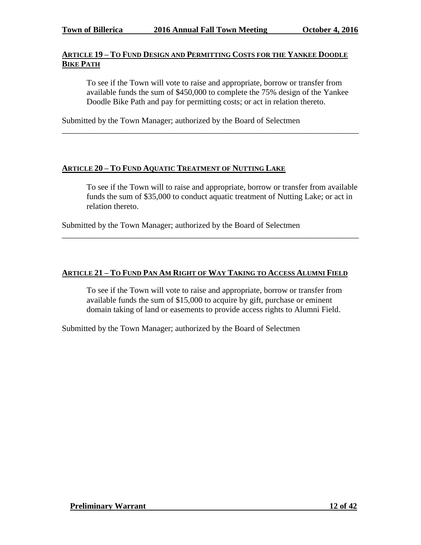# **ARTICLE 19 – TO FUND DESIGN AND PERMITTING COSTS FOR THE YANKEE DOODLE BIKE PATH**

To see if the Town will vote to raise and appropriate, borrow or transfer from available funds the sum of \$450,000 to complete the 75% design of the Yankee Doodle Bike Path and pay for permitting costs; or act in relation thereto.

\_\_\_\_\_\_\_\_\_\_\_\_\_\_\_\_\_\_\_\_\_\_\_\_\_\_\_\_\_\_\_\_\_\_\_\_\_\_\_\_\_\_\_\_\_\_\_\_\_\_\_\_\_\_\_\_\_\_\_\_\_\_\_\_\_\_\_\_\_\_\_\_

Submitted by the Town Manager; authorized by the Board of Selectmen

#### **ARTICLE 20 – TO FUND AQUATIC TREATMENT OF NUTTING LAKE**

To see if the Town will to raise and appropriate, borrow or transfer from available funds the sum of \$35,000 to conduct aquatic treatment of Nutting Lake; or act in relation thereto.

Submitted by the Town Manager; authorized by the Board of Selectmen

#### ARTICLE 21 - TO FUND PAN AM RIGHT OF WAY TAKING TO ACCESS ALUMNI FIELD

\_\_\_\_\_\_\_\_\_\_\_\_\_\_\_\_\_\_\_\_\_\_\_\_\_\_\_\_\_\_\_\_\_\_\_\_\_\_\_\_\_\_\_\_\_\_\_\_\_\_\_\_\_\_\_\_\_\_\_\_\_\_\_\_\_\_\_\_\_\_\_\_

To see if the Town will vote to raise and appropriate, borrow or transfer from available funds the sum of \$15,000 to acquire by gift, purchase or eminent domain taking of land or easements to provide access rights to Alumni Field.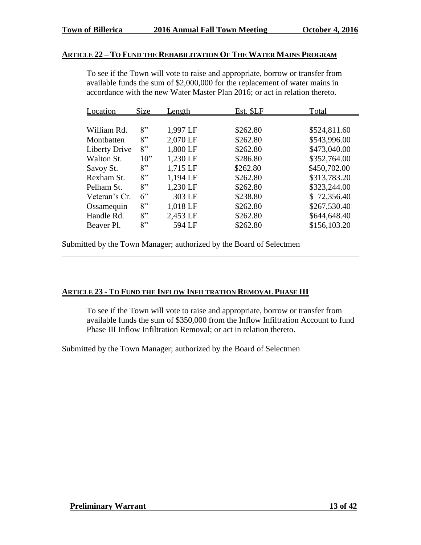#### **ARTICLE 22 – TO FUND THE REHABILITATION OF THE WATER MAINS PROGRAM**

To see if the Town will vote to raise and appropriate, borrow or transfer from available funds the sum of \$2,000,000 for the replacement of water mains in accordance with the new Water Master Plan 2016; or act in relation thereto.

| Location             | <b>Size</b> | Length   | Est. \$LF | Total        |
|----------------------|-------------|----------|-----------|--------------|
|                      |             |          |           |              |
| William Rd.          | 8"          | 1,997 LF | \$262.80  | \$524,811.60 |
| Montbatten           | 8"          | 2,070 LF | \$262.80  | \$543,996.00 |
| <b>Liberty Drive</b> | 8"          | 1,800 LF | \$262.80  | \$473,040.00 |
| Walton St.           | 10"         | 1,230 LF | \$286.80  | \$352,764.00 |
| Savoy St.            | 8"          | 1,715 LF | \$262.80  | \$450,702.00 |
| Rexham St.           | 8"          | 1,194 LF | \$262.80  | \$313,783.20 |
| Pelham St.           | 8"          | 1,230 LF | \$262.80  | \$323,244.00 |
| Veteran's Cr.        | $6$ "       | 303 LF   | \$238.80  | \$72,356.40  |
| Ossamequin           | 8"          | 1,018 LF | \$262.80  | \$267,530.40 |
| Handle Rd.           | 8"          | 2,453 LF | \$262.80  | \$644,648.40 |
| Beaver Pl.           | 8"          | 594 LF   | \$262.80  | \$156,103.20 |

Submitted by the Town Manager; authorized by the Board of Selectmen

#### **ARTICLE 23 - TO FUND THE INFLOW INFILTRATION REMOVAL PHASE III**

To see if the Town will vote to raise and appropriate, borrow or transfer from available funds the sum of \$350,000 from the Inflow Infiltration Account to fund Phase III Inflow Infiltration Removal; or act in relation thereto.

\_\_\_\_\_\_\_\_\_\_\_\_\_\_\_\_\_\_\_\_\_\_\_\_\_\_\_\_\_\_\_\_\_\_\_\_\_\_\_\_\_\_\_\_\_\_\_\_\_\_\_\_\_\_\_\_\_\_\_\_\_\_\_\_\_\_\_\_\_\_\_\_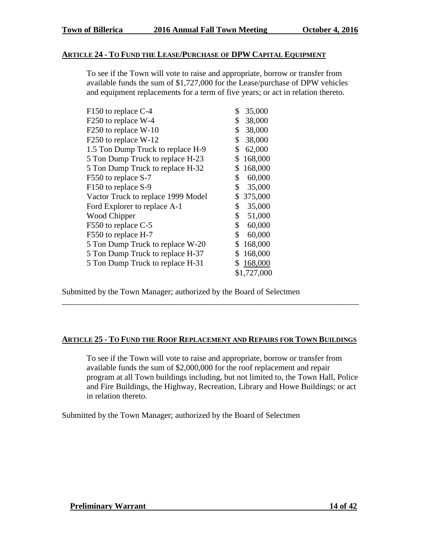#### **ARTICLE 24 - TO FUND THE LEASE/PURCHASE OF DPW CAPITAL EQUIPMENT**

To see if the Town will vote to raise and appropriate, borrow or transfer from available funds the sum of \$1,727,000 for the Lease/purchase of DPW vehicles and equipment replacements for a term of five years; or act in relation thereto.

| F150 to replace C-4                | \$<br>35,000  |
|------------------------------------|---------------|
| F250 to replace W-4                | \$<br>38,000  |
| F250 to replace W-10               | 38,000<br>\$  |
| F250 to replace W-12               | 38,000<br>\$  |
| 1.5 Ton Dump Truck to replace H-9  | 62,000<br>\$  |
| 5 Ton Dump Truck to replace H-23   | 168,000<br>\$ |
| 5 Ton Dump Truck to replace H-32   | 168,000<br>\$ |
| F550 to replace S-7                | \$<br>60,000  |
| F150 to replace S-9                | \$<br>35,000  |
| Vactor Truck to replace 1999 Model | \$<br>375,000 |
| Ford Explorer to replace A-1       | \$<br>35,000  |
| Wood Chipper                       | \$<br>51,000  |
| F550 to replace C-5                | \$<br>60,000  |
| F550 to replace H-7                | \$<br>60,000  |
| 5 Ton Dump Truck to replace W-20   | 168,000<br>\$ |
| 5 Ton Dump Truck to replace H-37   | 168,000<br>\$ |
| 5 Ton Dump Truck to replace H-31   | 168,000<br>\$ |
|                                    | \$1,727,000   |

Submitted by the Town Manager; authorized by the Board of Selectmen

#### **ARTICLE 25 - TO FUND THE ROOF REPLACEMENT AND REPAIRS FOR TOWN BUILDINGS**

\_\_\_\_\_\_\_\_\_\_\_\_\_\_\_\_\_\_\_\_\_\_\_\_\_\_\_\_\_\_\_\_\_\_\_\_\_\_\_\_\_\_\_\_\_\_\_\_\_\_\_\_\_\_\_\_\_\_\_\_\_\_\_\_\_\_\_\_\_\_\_\_

To see if the Town will vote to raise and appropriate, borrow or transfer from available funds the sum of \$2,000,000 for the roof replacement and repair program at all Town buildings including, but not limited to, the Town Hall, Police and Fire Buildings, the Highway, Recreation, Library and Howe Buildings; or act in relation thereto.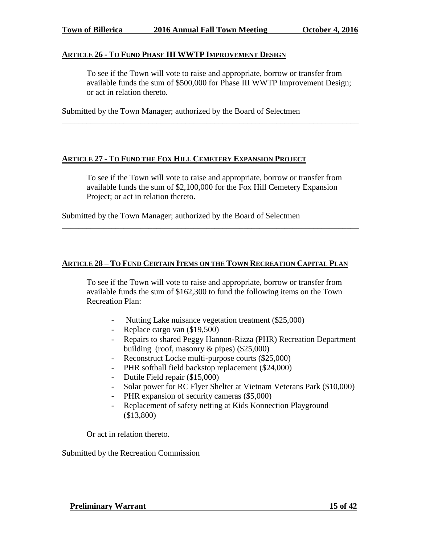#### **ARTICLE 26 - TO FUND PHASE III WWTP IMPROVEMENT DESIGN**

To see if the Town will vote to raise and appropriate, borrow or transfer from available funds the sum of \$500,000 for Phase III WWTP Improvement Design; or act in relation thereto.

\_\_\_\_\_\_\_\_\_\_\_\_\_\_\_\_\_\_\_\_\_\_\_\_\_\_\_\_\_\_\_\_\_\_\_\_\_\_\_\_\_\_\_\_\_\_\_\_\_\_\_\_\_\_\_\_\_\_\_\_\_\_\_\_\_\_\_\_\_\_\_\_

Submitted by the Town Manager; authorized by the Board of Selectmen

#### **ARTICLE 27 - TO FUND THE FOX HILL CEMETERY EXPANSION PROJECT**

To see if the Town will vote to raise and appropriate, borrow or transfer from available funds the sum of \$2,100,000 for the Fox Hill Cemetery Expansion Project; or act in relation thereto.

Submitted by the Town Manager; authorized by the Board of Selectmen

# **ARTICLE 28 – TO FUND CERTAIN ITEMS ON THE TOWN RECREATION CAPITAL PLAN**

\_\_\_\_\_\_\_\_\_\_\_\_\_\_\_\_\_\_\_\_\_\_\_\_\_\_\_\_\_\_\_\_\_\_\_\_\_\_\_\_\_\_\_\_\_\_\_\_\_\_\_\_\_\_\_\_\_\_\_\_\_\_\_\_\_\_\_\_\_\_\_\_

To see if the Town will vote to raise and appropriate, borrow or transfer from available funds the sum of \$162,300 to fund the following items on the Town Recreation Plan:

- Nutting Lake nuisance vegetation treatment (\$25,000)
- Replace cargo van (\$19,500)
- Repairs to shared Peggy Hannon-Rizza (PHR) Recreation Department building (roof, masonry & pipes) (\$25,000)
- Reconstruct Locke multi-purpose courts (\$25,000)
- PHR softball field backstop replacement (\$24,000)
- Dutile Field repair (\$15,000)
- Solar power for RC Flyer Shelter at Vietnam Veterans Park (\$10,000)
- PHR expansion of security cameras (\$5,000)
- Replacement of safety netting at Kids Konnection Playground (\$13,800)

Or act in relation thereto.

Submitted by the Recreation Commission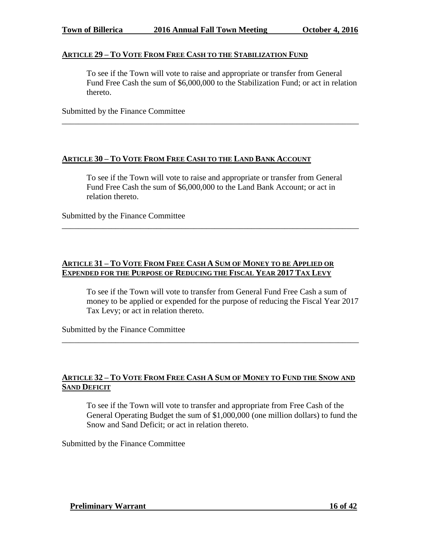#### **ARTICLE 29 – TO VOTE FROM FREE CASH TO THE STABILIZATION FUND**

To see if the Town will vote to raise and appropriate or transfer from General Fund Free Cash the sum of \$6,000,000 to the Stabilization Fund; or act in relation thereto.

Submitted by the Finance Committee

#### **ARTICLE 30 – TO VOTE FROM FREE CASH TO THE LAND BANK ACCOUNT**

To see if the Town will vote to raise and appropriate or transfer from General Fund Free Cash the sum of \$6,000,000 to the Land Bank Account; or act in relation thereto.

\_\_\_\_\_\_\_\_\_\_\_\_\_\_\_\_\_\_\_\_\_\_\_\_\_\_\_\_\_\_\_\_\_\_\_\_\_\_\_\_\_\_\_\_\_\_\_\_\_\_\_\_\_\_\_\_\_\_\_\_\_\_\_\_\_\_\_\_\_\_\_\_

\_\_\_\_\_\_\_\_\_\_\_\_\_\_\_\_\_\_\_\_\_\_\_\_\_\_\_\_\_\_\_\_\_\_\_\_\_\_\_\_\_\_\_\_\_\_\_\_\_\_\_\_\_\_\_\_\_\_\_\_\_\_\_\_\_\_\_\_\_\_\_\_

Submitted by the Finance Committee

#### **ARTICLE 31 – TO VOTE FROM FREE CASH A SUM OF MONEY TO BE APPLIED OR EXPENDED FOR THE PURPOSE OF REDUCING THE FISCAL YEAR 2017 TAX LEVY**

To see if the Town will vote to transfer from General Fund Free Cash a sum of money to be applied or expended for the purpose of reducing the Fiscal Year 2017 Tax Levy; or act in relation thereto.

Submitted by the Finance Committee

# ARTICLE 32 - TO VOTE FROM FREE CASH A SUM OF MONEY TO FUND THE SNOW AND **SAND DEFICIT**

\_\_\_\_\_\_\_\_\_\_\_\_\_\_\_\_\_\_\_\_\_\_\_\_\_\_\_\_\_\_\_\_\_\_\_\_\_\_\_\_\_\_\_\_\_\_\_\_\_\_\_\_\_\_\_\_\_\_\_\_\_\_\_\_\_\_\_\_\_\_\_\_

To see if the Town will vote to transfer and appropriate from Free Cash of the General Operating Budget the sum of \$1,000,000 (one million dollars) to fund the Snow and Sand Deficit; or act in relation thereto.

Submitted by the Finance Committee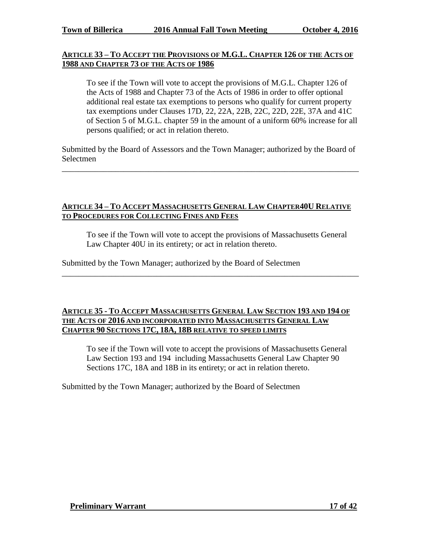#### **ARTICLE 33 – TO ACCEPT THE PROVISIONS OF M.G.L. CHAPTER 126 OF THE ACTS OF 1988 AND CHAPTER 73 OF THE ACTS OF 1986**

To see if the Town will vote to accept the provisions of M.G.L. Chapter 126 of the Acts of 1988 and Chapter 73 of the Acts of 1986 in order to offer optional additional real estate tax exemptions to persons who qualify for current property tax exemptions under Clauses 17D, 22, 22A, 22B, 22C, 22D, 22E, 37A and 41C of Section 5 of M.G.L. chapter 59 in the amount of a uniform 60% increase for all persons qualified; or act in relation thereto.

Submitted by the Board of Assessors and the Town Manager; authorized by the Board of Selectmen

\_\_\_\_\_\_\_\_\_\_\_\_\_\_\_\_\_\_\_\_\_\_\_\_\_\_\_\_\_\_\_\_\_\_\_\_\_\_\_\_\_\_\_\_\_\_\_\_\_\_\_\_\_\_\_\_\_\_\_\_\_\_\_\_\_\_\_\_\_\_\_\_

# **ARTICLE 34 – TO ACCEPT MASSACHUSETTS GENERAL LAW CHAPTER40U RELATIVE TO PROCEDURES FOR COLLECTING FINES AND FEES**

To see if the Town will vote to accept the provisions of Massachusetts General Law Chapter 40U in its entirety; or act in relation thereto.

Submitted by the Town Manager; authorized by the Board of Selectmen

# **ARTICLE 35 - TO ACCEPT MASSACHUSETTS GENERAL LAW SECTION 193 AND 194 OF THE ACTS OF 2016 AND INCORPORATED INTO MASSACHUSETTS GENERAL LAW CHAPTER 90 SECTIONS 17C, 18A, 18B RELATIVE TO SPEED LIMITS**

\_\_\_\_\_\_\_\_\_\_\_\_\_\_\_\_\_\_\_\_\_\_\_\_\_\_\_\_\_\_\_\_\_\_\_\_\_\_\_\_\_\_\_\_\_\_\_\_\_\_\_\_\_\_\_\_\_\_\_\_\_\_\_\_\_\_\_\_\_\_\_\_

To see if the Town will vote to accept the provisions of Massachusetts General Law Section 193 and 194 including Massachusetts General Law Chapter 90 Sections 17C, 18A and 18B in its entirety; or act in relation thereto.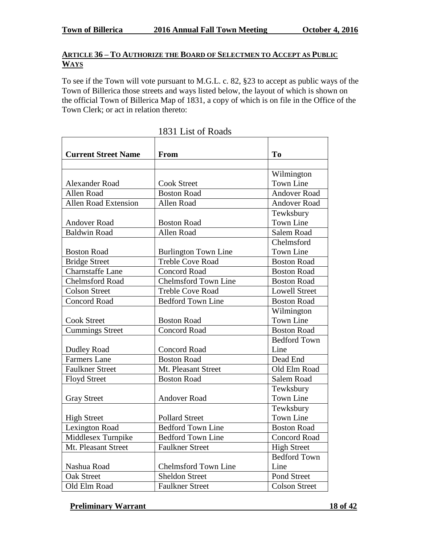# **ARTICLE 36 – TO AUTHORIZE THE BOARD OF SELECTMEN TO ACCEPT AS PUBLIC WAYS**

To see if the Town will vote pursuant to M.G.L. c. 82, §23 to accept as public ways of the Town of Billerica those streets and ways listed below, the layout of which is shown on the official Town of Billerica Map of 1831, a copy of which is on file in the Office of the Town Clerk; or act in relation thereto:

| <b>Current Street Name</b>  | From                        | To                   |
|-----------------------------|-----------------------------|----------------------|
|                             |                             |                      |
|                             |                             | Wilmington           |
| Alexander Road              | <b>Cook Street</b>          | <b>Town Line</b>     |
| Allen Road                  | <b>Boston Road</b>          | <b>Andover Road</b>  |
| <b>Allen Road Extension</b> | Allen Road                  | <b>Andover Road</b>  |
|                             |                             | Tewksbury            |
| <b>Andover Road</b>         | <b>Boston Road</b>          | <b>Town Line</b>     |
| <b>Baldwin Road</b>         | Allen Road                  | Salem Road           |
|                             |                             | Chelmsford           |
| <b>Boston Road</b>          | <b>Burlington Town Line</b> | <b>Town Line</b>     |
| <b>Bridge Street</b>        | <b>Treble Cove Road</b>     | <b>Boston Road</b>   |
| <b>Charnstaffe Lane</b>     | <b>Concord Road</b>         | <b>Boston Road</b>   |
| <b>Chelmsford Road</b>      | <b>Chelmsford Town Line</b> | <b>Boston Road</b>   |
| <b>Colson Street</b>        | <b>Treble Cove Road</b>     | <b>Lowell Street</b> |
| <b>Concord Road</b>         | <b>Bedford Town Line</b>    | <b>Boston Road</b>   |
|                             |                             | Wilmington           |
| <b>Cook Street</b>          | <b>Boston Road</b>          | <b>Town Line</b>     |
| <b>Cummings Street</b>      | <b>Concord Road</b>         | <b>Boston Road</b>   |
|                             |                             | <b>Bedford Town</b>  |
| Dudley Road                 | Concord Road                | Line                 |
| <b>Farmers Lane</b>         | <b>Boston Road</b>          | Dead End             |
| <b>Faulkner Street</b>      | Mt. Pleasant Street         | Old Elm Road         |
| <b>Floyd Street</b>         | <b>Boston Road</b>          | Salem Road           |
|                             |                             | Tewksbury            |
| <b>Gray Street</b>          | <b>Andover Road</b>         | <b>Town Line</b>     |
|                             |                             | Tewksbury            |
| <b>High Street</b>          | <b>Pollard Street</b>       | <b>Town Line</b>     |
| Lexington Road              | <b>Bedford Town Line</b>    | <b>Boston Road</b>   |
| Middlesex Turnpike          | <b>Bedford Town Line</b>    | <b>Concord Road</b>  |
| Mt. Pleasant Street         | <b>Faulkner Street</b>      | <b>High Street</b>   |
|                             |                             | <b>Bedford Town</b>  |
| Nashua Road                 | <b>Chelmsford Town Line</b> | Line                 |
| <b>Oak Street</b>           | <b>Sheldon Street</b>       | Pond Street          |
| Old Elm Road                | <b>Faulkner Street</b>      | <b>Colson Street</b> |

# 1831 List of Roads

 **Preliminary Warrant 18 of 42**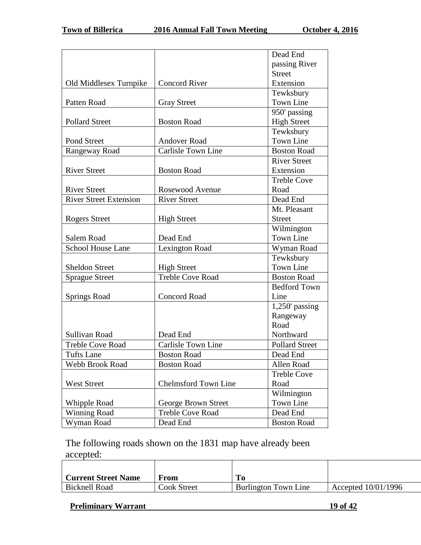|                               |                             | Dead End              |
|-------------------------------|-----------------------------|-----------------------|
|                               |                             | passing River         |
|                               |                             | <b>Street</b>         |
| Old Middlesex Turnpike        | <b>Concord River</b>        | Extension             |
|                               |                             | Tewksbury             |
| Patten Road                   | <b>Gray Street</b>          | Town Line             |
|                               |                             | 950' passing          |
| <b>Pollard Street</b>         | <b>Boston Road</b>          | <b>High Street</b>    |
|                               |                             | Tewksbury             |
| Pond Street                   | <b>Andover Road</b>         | Town Line             |
| Rangeway Road                 | <b>Carlisle Town Line</b>   | <b>Boston Road</b>    |
|                               |                             | <b>River Street</b>   |
| <b>River Street</b>           | <b>Boston Road</b>          | Extension             |
|                               |                             | <b>Treble Cove</b>    |
| <b>River Street</b>           | Rosewood Avenue             | Road                  |
| <b>River Street Extension</b> | <b>River Street</b>         | Dead End              |
|                               |                             | Mt. Pleasant          |
| <b>Rogers Street</b>          | <b>High Street</b>          | <b>Street</b>         |
|                               |                             | Wilmington            |
| Salem Road                    | Dead End                    | <b>Town Line</b>      |
| <b>School House Lane</b>      | Lexington Road              | Wyman Road            |
|                               |                             | Tewksbury             |
| <b>Sheldon Street</b>         | <b>High Street</b>          | <b>Town Line</b>      |
| <b>Sprague Street</b>         | <b>Treble Cove Road</b>     | <b>Boston Road</b>    |
|                               |                             | <b>Bedford Town</b>   |
| <b>Springs Road</b>           | <b>Concord Road</b>         | Line                  |
|                               |                             | $1,250$ ' passing     |
|                               |                             | Rangeway              |
|                               |                             | Road                  |
| Sullivan Road                 | Dead End                    | Northward             |
| <b>Treble Cove Road</b>       | Carlisle Town Line          | <b>Pollard Street</b> |
| <b>Tufts Lane</b>             | <b>Boston Road</b>          | Dead End              |
| Webb Brook Road               | <b>Boston Road</b>          | Allen Road            |
|                               |                             | <b>Treble Cove</b>    |
| <b>West Street</b>            | <b>Chelmsford Town Line</b> | Road                  |
|                               |                             | Wilmington            |
| Whipple Road                  | George Brown Street         | Town Line             |
| <b>Winning Road</b>           | <b>Treble Cove Road</b>     | Dead End              |
| Wyman Road                    | Dead End                    | <b>Boston Road</b>    |

The following roads shown on the 1831 map have already been accepted:

| <b>Current Street Name</b> | From               |                      |                     |
|----------------------------|--------------------|----------------------|---------------------|
| <b>Bicknell Road</b>       | <b>Cook Street</b> | Burlington Town Line | Accepted 10/01/1996 |

 **Preliminary Warrant 19 of 42**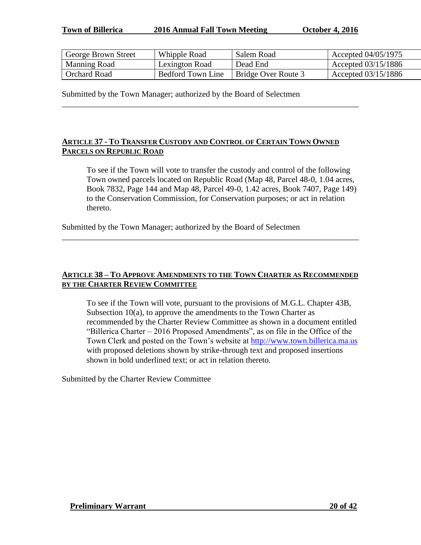| George Brown Street | Whipple Road             | Salem Road          | Accepted 04/05/1975 |
|---------------------|--------------------------|---------------------|---------------------|
| <b>Manning Road</b> | Lexington Road           | Dead End            | Accepted 03/15/1886 |
| Orchard Road        | <b>Bedford Town Line</b> | Bridge Over Route 3 | Accepted 03/15/1886 |

Submitted by the Town Manager; authorized by the Board of Selectmen

# **ARTICLE 37 - TO TRANSFER CUSTODY AND CONTROL OF CERTAIN TOWN OWNED PARCELS ON REPUBLIC ROAD**

\_\_\_\_\_\_\_\_\_\_\_\_\_\_\_\_\_\_\_\_\_\_\_\_\_\_\_\_\_\_\_\_\_\_\_\_\_\_\_\_\_\_\_\_\_\_\_\_\_\_\_\_\_\_\_\_\_\_\_\_\_\_\_\_\_\_\_\_\_\_\_\_

To see if the Town will vote to transfer the custody and control of the following Town owned parcels located on Republic Road (Map 48, Parcel 48-0, 1.04 acres, Book 7832, Page 144 and Map 48, Parcel 49-0, 1.42 acres, Book 7407, Page 149) to the Conservation Commission, for Conservation purposes; or act in relation thereto.

Submitted by the Town Manager; authorized by the Board of Selectmen

# **ARTICLE 38 – TO APPROVE AMENDMENTS TO THE TOWN CHARTER AS RECOMMENDED BY THE CHARTER REVIEW COMMITTEE**

\_\_\_\_\_\_\_\_\_\_\_\_\_\_\_\_\_\_\_\_\_\_\_\_\_\_\_\_\_\_\_\_\_\_\_\_\_\_\_\_\_\_\_\_\_\_\_\_\_\_\_\_\_\_\_\_\_\_\_\_\_\_\_\_\_\_\_\_\_\_\_\_

To see if the Town will vote, pursuant to the provisions of M.G.L. Chapter 43B, Subsection 10(a), to approve the amendments to the Town Charter as recommended by the Charter Review Committee as shown in a document entitled "Billerica Charter – 2016 Proposed Amendments", as on file in the Office of the Town Clerk and posted on the Town's website at [http://www.town.billerica.ma.us](http://www.town.billerica.ma.us/) with proposed deletions shown by strike-through text and proposed insertions shown in bold underlined text; or act in relation thereto.

Submitted by the Charter Review Committee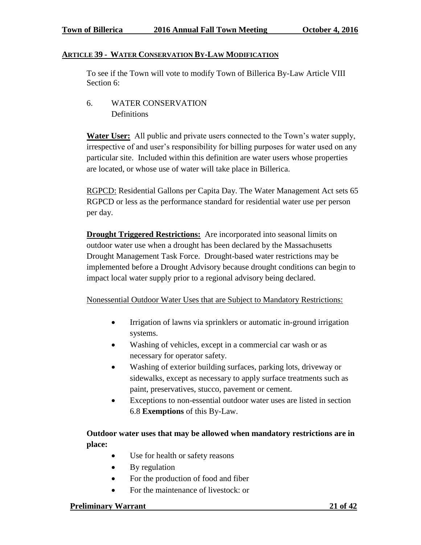#### **ARTICLE 39 - WATER CONSERVATION BY-LAW MODIFICATION**

To see if the Town will vote to modify Town of Billerica By-Law Article VIII Section 6:

6. WATER CONSERVATION **Definitions** 

**Water User:** All public and private users connected to the Town's water supply, irrespective of and user's responsibility for billing purposes for water used on any particular site. Included within this definition are water users whose properties are located, or whose use of water will take place in Billerica.

RGPCD: Residential Gallons per Capita Day. The Water Management Act sets 65 RGPCD or less as the performance standard for residential water use per person per day.

**Drought Triggered Restrictions:** Are incorporated into seasonal limits on outdoor water use when a drought has been declared by the Massachusetts Drought Management Task Force. Drought-based water restrictions may be implemented before a Drought Advisory because drought conditions can begin to impact local water supply prior to a regional advisory being declared.

Nonessential Outdoor Water Uses that are Subject to Mandatory Restrictions:

- Irrigation of lawns via sprinklers or automatic in-ground irrigation systems.
- Washing of vehicles, except in a commercial car wash or as necessary for operator safety.
- Washing of exterior building surfaces, parking lots, driveway or sidewalks, except as necessary to apply surface treatments such as paint, preservatives, stucco, pavement or cement.
- Exceptions to non-essential outdoor water uses are listed in section 6.8 **Exemptions** of this By-Law.

# **Outdoor water uses that may be allowed when mandatory restrictions are in place:**

- Use for health or safety reasons
- By regulation
- For the production of food and fiber
- For the maintenance of livestock: or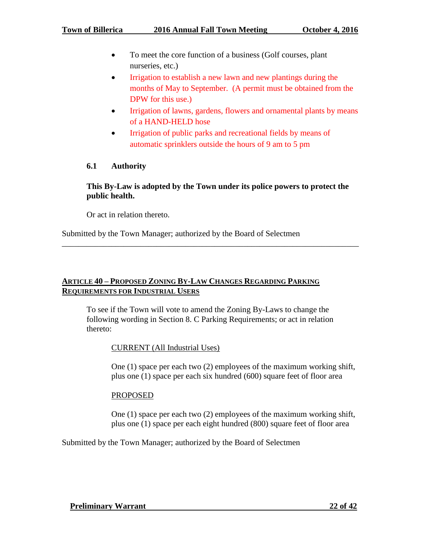- To meet the core function of a business (Golf courses, plant nurseries, etc.)
- Irrigation to establish a new lawn and new plantings during the months of May to September. (A permit must be obtained from the DPW for this use.)
- Irrigation of lawns, gardens, flowers and ornamental plants by means of a HAND-HELD hose
- Irrigation of public parks and recreational fields by means of automatic sprinklers outside the hours of 9 am to 5 pm

# **6.1 Authority**

# **This By-Law is adopted by the Town under its police powers to protect the public health.**

Or act in relation thereto.

Submitted by the Town Manager; authorized by the Board of Selectmen

# **ARTICLE 40 – PROPOSED ZONING BY-LAW CHANGES REGARDING PARKING REQUIREMENTS FOR INDUSTRIAL USERS**

To see if the Town will vote to amend the Zoning By-Laws to change the following wording in Section 8. C Parking Requirements; or act in relation thereto:

\_\_\_\_\_\_\_\_\_\_\_\_\_\_\_\_\_\_\_\_\_\_\_\_\_\_\_\_\_\_\_\_\_\_\_\_\_\_\_\_\_\_\_\_\_\_\_\_\_\_\_\_\_\_\_\_\_\_\_\_\_\_\_\_\_\_\_\_\_\_\_\_

CURRENT (All Industrial Uses)

One (1) space per each two (2) employees of the maximum working shift, plus one (1) space per each six hundred (600) square feet of floor area

# PROPOSED

One (1) space per each two (2) employees of the maximum working shift, plus one (1) space per each eight hundred (800) square feet of floor area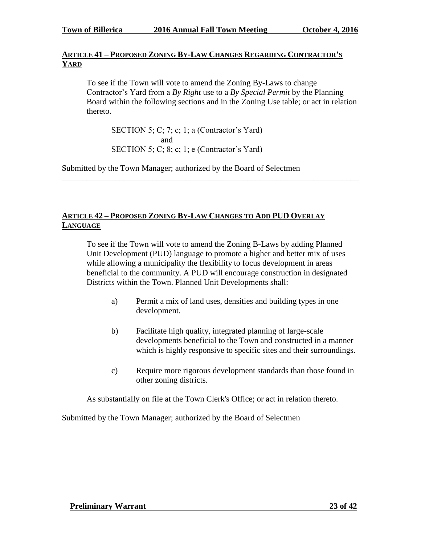# **ARTICLE 41 – PROPOSED ZONING BY-LAW CHANGES REGARDING CONTRACTOR'S YARD**

To see if the Town will vote to amend the Zoning By-Laws to change Contractor's Yard from a *By Right* use to a *By Special Permit* by the Planning Board within the following sections and in the Zoning Use table; or act in relation thereto.

SECTION 5; C; 7; c; 1; a (Contractor's Yard) and SECTION 5; C; 8; c; 1; e (Contractor's Yard)

Submitted by the Town Manager; authorized by the Board of Selectmen

# **ARTICLE 42 – PROPOSED ZONING BY-LAW CHANGES TO ADD PUD OVERLAY LANGUAGE**

To see if the Town will vote to amend the Zoning B-Laws by adding Planned Unit Development (PUD) language to promote a higher and better mix of uses while allowing a municipality the flexibility to focus development in areas beneficial to the community. A PUD will encourage construction in designated Districts within the Town. Planned Unit Developments shall:

\_\_\_\_\_\_\_\_\_\_\_\_\_\_\_\_\_\_\_\_\_\_\_\_\_\_\_\_\_\_\_\_\_\_\_\_\_\_\_\_\_\_\_\_\_\_\_\_\_\_\_\_\_\_\_\_\_\_\_\_\_\_\_\_\_\_\_\_\_\_\_\_

- a) Permit a mix of land uses, densities and building types in one development.
- b) Facilitate high quality, integrated planning of large-scale developments beneficial to the Town and constructed in a manner which is highly responsive to specific sites and their surroundings.
- c) Require more rigorous development standards than those found in other zoning districts.

As substantially on file at the Town Clerk's Office; or act in relation thereto.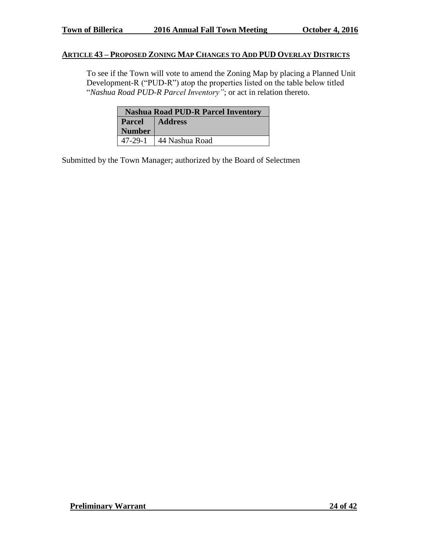# **ARTICLE 43 – PROPOSED ZONING MAP CHANGES TO ADD PUD OVERLAY DISTRICTS**

To see if the Town will vote to amend the Zoning Map by placing a Planned Unit Development-R ("PUD-R") atop the properties listed on the table below titled "*Nashua Road PUD-R Parcel Inventory"*; or act in relation thereto.

| <b>Nashua Road PUD-R Parcel Inventory</b> |                |  |
|-------------------------------------------|----------------|--|
| Parcel Address                            |                |  |
| <b>Number</b>                             |                |  |
| 47-29-1                                   | 44 Nashua Road |  |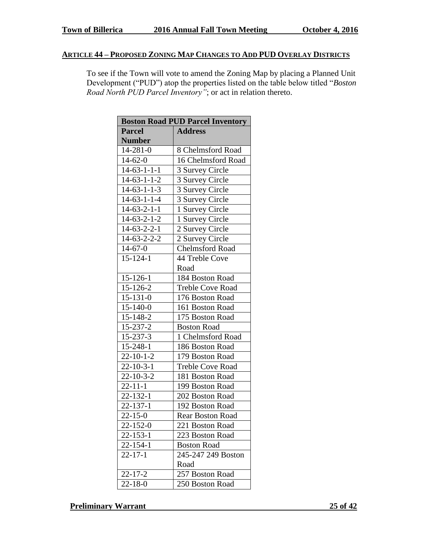# **ARTICLE 44 – PROPOSED ZONING MAP CHANGES TO ADD PUD OVERLAY DISTRICTS**

To see if the Town will vote to amend the Zoning Map by placing a Planned Unit Development ("PUD") atop the properties listed on the table below titled "*Boston Road North PUD Parcel Inventory"*; or act in relation thereto.

| <b>Boston Road PUD Parcel Inventory</b> |                         |  |
|-----------------------------------------|-------------------------|--|
| <b>Parcel</b>                           | <b>Address</b>          |  |
| <b>Number</b>                           |                         |  |
| 14-281-0                                | 8 Chelmsford Road       |  |
| $14 - 62 - 0$                           | 16 Chelmsford Road      |  |
| $14-63-1-1-1$                           | 3 Survey Circle         |  |
| $14-63-1-1-2$                           | 3 Survey Circle         |  |
| $14-63-1-1-3$                           | 3 Survey Circle         |  |
| $14 - 63 - 1 - 1 - 4$                   | 3 Survey Circle         |  |
| $14-63-2-1-1$                           | 1 Survey Circle         |  |
| $14-63-2-1-2$                           | 1 Survey Circle         |  |
| $14-63-2-2-1$                           | 2 Survey Circle         |  |
| 14-63-2-2-2                             | 2 Survey Circle         |  |
| $14-67-0$                               | <b>Chelmsford Road</b>  |  |
| $15 - 124 - 1$                          | 44 Treble Cove          |  |
|                                         | Road                    |  |
| 15-126-1                                | 184 Boston Road         |  |
| 15-126-2                                | <b>Treble Cove Road</b> |  |
| $15 - 131 - 0$                          | 176 Boston Road         |  |
| $15 - 140 - 0$                          | 161 Boston Road         |  |
| 15-148-2                                | 175 Boston Road         |  |
| 15-237-2                                | <b>Boston Road</b>      |  |
| 15-237-3                                | 1 Chelmsford Road       |  |
| 15-248-1                                | 186 Boston Road         |  |
| $22 - 10 - 1 - 2$                       | 179 Boston Road         |  |
| $22 - 10 - 3 - 1$                       | <b>Treble Cove Road</b> |  |
| $22 - 10 - 3 - 2$                       | 181 Boston Road         |  |
| $22 - 11 - 1$                           | 199 Boston Road         |  |
| $22 - 132 - 1$                          | 202 Boston Road         |  |
| $22 - 137 - 1$                          | 192 Boston Road         |  |
| $22 - 15 - 0$                           | Rear Boston Road        |  |
| 22-152-0                                | 221 Boston Road         |  |
| 22-153-1                                | 223 Boston Road         |  |
| 22-154-1                                | <b>Boston Road</b>      |  |
| $22 - 17 - 1$                           | 245-247 249 Boston      |  |
|                                         | Road                    |  |
| $22 - 17 - 2$                           | 257 Boston Road         |  |
| $22 - 18 - 0$                           | 250 Boston Road         |  |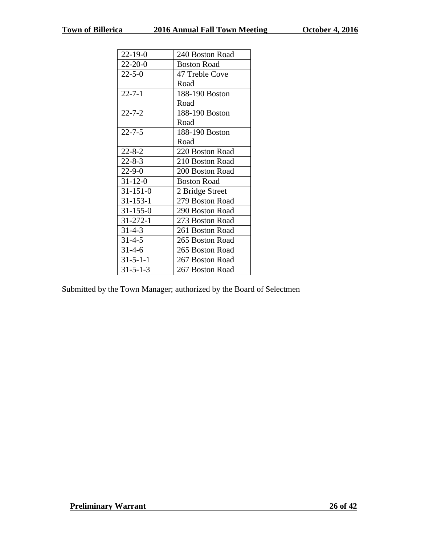| 240 Boston Road    |
|--------------------|
| <b>Boston Road</b> |
| 47 Treble Cove     |
| Road               |
| 188-190 Boston     |
| Road               |
| 188-190 Boston     |
| Road               |
| 188-190 Boston     |
| Road               |
| 220 Boston Road    |
| 210 Boston Road    |
| 200 Boston Road    |
| <b>Boston Road</b> |
| 2 Bridge Street    |
| 279 Boston Road    |
| 290 Boston Road    |
| 273 Boston Road    |
| 261 Boston Road    |
| 265 Boston Road    |
| 265 Boston Road    |
| 267 Boston Road    |
| 267 Boston Road    |
|                    |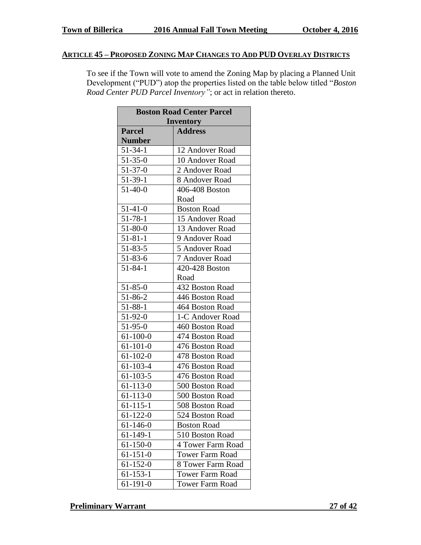# **ARTICLE 45 – PROPOSED ZONING MAP CHANGES TO ADD PUD OVERLAY DISTRICTS**

To see if the Town will vote to amend the Zoning Map by placing a Planned Unit Development ("PUD") atop the properties listed on the table below titled "*Boston Road Center PUD Parcel Inventory"*; or act in relation thereto.

| <b>Boston Road Center Parcel</b> |                        |  |
|----------------------------------|------------------------|--|
| <b>Inventory</b>                 |                        |  |
| <b>Parcel</b>                    | <b>Address</b>         |  |
| <b>Number</b>                    |                        |  |
| $51 - 34 - 1$                    | 12 Andover Road        |  |
| $51 - 35 - 0$                    | 10 Andover Road        |  |
| $51-37-0$                        | 2 Andover Road         |  |
| $51-39-1$                        | 8 Andover Road         |  |
| $51-40-0$                        | 406-408 Boston         |  |
|                                  | Road                   |  |
| $51-41-0$                        | <b>Boston Road</b>     |  |
| 51-78-1                          | 15 Andover Road        |  |
| $51 - 80 - 0$                    | 13 Andover Road        |  |
| $51 - 81 - 1$                    | 9 Andover Road         |  |
| $51 - 83 - 5$                    | 5 Andover Road         |  |
| $51 - 83 - 6$                    | 7 Andover Road         |  |
| $51 - 84 - 1$                    | 420-428 Boston         |  |
|                                  | Road                   |  |
| $51 - 85 - 0$                    | 432 Boston Road        |  |
| 51-86-2                          | 446 Boston Road        |  |
| $51 - 88 - 1$                    | 464 Boston Road        |  |
| 51-92-0                          | 1-C Andover Road       |  |
| $51-95-0$                        | 460 Boston Road        |  |
| $61 - 100 - 0$                   | 474 Boston Road        |  |
| $61 - 101 - 0$                   | 476 Boston Road        |  |
| $61 - 102 - 0$                   | 478 Boston Road        |  |
| $61 - 103 - 4$                   | 476 Boston Road        |  |
| $61 - 103 - 5$                   | 476 Boston Road        |  |
| $61 - 113 - 0$                   | 500 Boston Road        |  |
| $61 - 113 - 0$                   | 500 Boston Road        |  |
| $61 - 115 - 1$                   | 508 Boston Road        |  |
| $61 - 122 - 0$                   | 524 Boston Road        |  |
| 61-146-0                         | <b>Boston Road</b>     |  |
| $61 - 149 - 1$                   | 510 Boston Road        |  |
| 61-150-0                         | 4 Tower Farm Road      |  |
| 61-151-0                         | <b>Tower Farm Road</b> |  |
| $61 - 152 - 0$                   | 8 Tower Farm Road      |  |
| 61-153-1                         | <b>Tower Farm Road</b> |  |
| $61 - 191 - 0$                   | <b>Tower Farm Road</b> |  |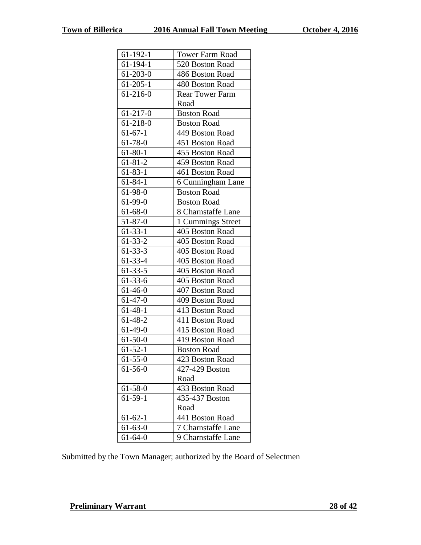| $61-192-1$     | <b>Tower Farm Road</b> |
|----------------|------------------------|
| $61-194-1$     | 520 Boston Road        |
| $61 - 203 - 0$ | 486 Boston Road        |
| $61-205-1$     | 480 Boston Road        |
| $61 - 216 - 0$ | <b>Rear Tower Farm</b> |
|                | Road                   |
| $61-217-0$     | <b>Boston Road</b>     |
| 61-218-0       | <b>Boston Road</b>     |
| $61 - 67 - 1$  | 449 Boston Road        |
| $61 - 78 - 0$  | 451 Boston Road        |
| $61 - 80 - 1$  | 455 Boston Road        |
| $61 - 81 - 2$  | 459 Boston Road        |
| $61 - 83 - 1$  | 461 Boston Road        |
| $61 - 84 - 1$  | 6 Cunningham Lane      |
| 61-98-0        | <b>Boston Road</b>     |
| $61-99-0$      | <b>Boston Road</b>     |
| $61 - 68 - 0$  | 8 Charnstaffe Lane     |
| $51 - 87 - 0$  | 1 Cummings Street      |
| $61 - 33 - 1$  | 405 Boston Road        |
| $61 - 33 - 2$  | 405 Boston Road        |
| $61 - 33 - 3$  | 405 Boston Road        |
| $61-33-4$      | 405 Boston Road        |
| $61 - 33 - 5$  | 405 Boston Road        |
| $61 - 33 - 6$  | 405 Boston Road        |
| $61-46-0$      | 407 Boston Road        |
| $61-47-0$      | 409 Boston Road        |
| $61 - 48 - 1$  | 413 Boston Road        |
| $61-48-2$      | 411 Boston Road        |
| $61-49-0$      | 415 Boston Road        |
| $61 - 50 - 0$  | 419 Boston Road        |
| $61 - 52 - 1$  | <b>Boston Road</b>     |
| 61-55-0        | 423 Boston Road        |
| $61 - 56 - 0$  | 427-429 Boston         |
|                | Road                   |
| $61 - 58 - 0$  | 433 Boston Road        |
| $61-59-1$      | 435-437 Boston         |
|                | Road                   |
| $61 - 62 - 1$  | 441 Boston Road        |
| $61 - 63 - 0$  | 7 Charnstaffe Lane     |
| $61 - 64 - 0$  | 9 Charnstaffe Lane     |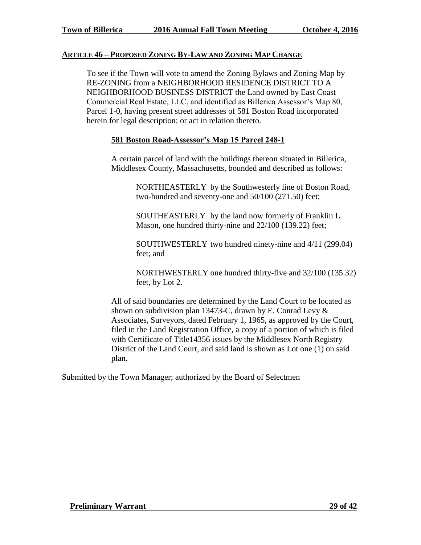# **ARTICLE 46 – PROPOSED ZONING BY-LAW AND ZONING MAP CHANGE**

To see if the Town will vote to amend the Zoning Bylaws and Zoning Map by RE-ZONING from a NEIGHBORHOOD RESIDENCE DISTRICT TO A NEIGHBORHOOD BUSINESS DISTRICT the Land owned by East Coast Commercial Real Estate, LLC, and identified as Billerica Assessor's Map 80, Parcel 1-0, having present street addresses of 581 Boston Road incorporated herein for legal description; or act in relation thereto.

# **581 Boston Road-Assessor's Map 15 Parcel 248-1**

A certain parcel of land with the buildings thereon situated in Billerica, Middlesex County, Massachusetts, bounded and described as follows:

> NORTHEASTERLY by the Southwesterly line of Boston Road, two-hundred and seventy-one and 50/100 (271.50) feet;

SOUTHEASTERLY by the land now formerly of Franklin L. Mason, one hundred thirty-nine and 22/100 (139.22) feet;

SOUTHWESTERLY two hundred ninety-nine and 4/11 (299.04) feet; and

NORTHWESTERLY one hundred thirty-five and 32/100 (135.32) feet, by Lot 2.

All of said boundaries are determined by the Land Court to be located as shown on subdivision plan 13473-C, drawn by E. Conrad Levy & Associates, Surveyors, dated February 1, 1965, as approved by the Court, filed in the Land Registration Office, a copy of a portion of which is filed with Certificate of Title14356 issues by the Middlesex North Registry District of the Land Court, and said land is shown as Lot one (1) on said plan.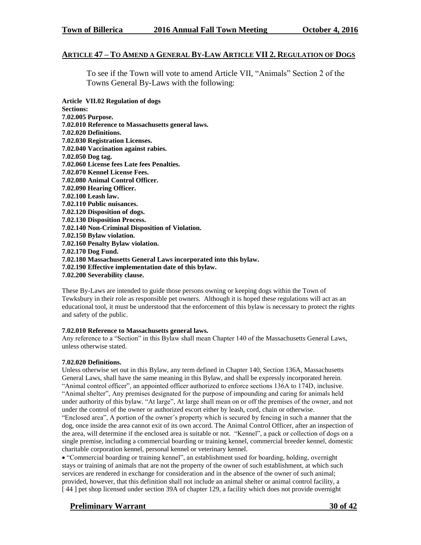#### **ARTICLE 47 - TO AMEND A GENERAL BY-LAW ARTICLE VII 2. REGULATION OF DOGS**

To see if the Town will vote to amend Article VII, "Animals" Section 2 of the Towns General By-Laws with the following:

**Article VII.02 Regulation of dogs Sections: 7.02.005 Purpose. 7.02.010 Reference to Massachusetts general laws. 7.02.020 Definitions. 7.02.030 Registration Licenses. 7.02.040 Vaccination against rabies. 7.02.050 Dog tag. 7.02.060 License fees Late fees Penalties. 7.02.070 Kennel License Fees. 7.02.080 Animal Control Officer. 7.02.090 Hearing Officer. 7.02.100 Leash law. 7.02.110 Public nuisances. 7.02.120 Disposition of dogs. 7.02.130 Disposition Process. 7.02.140 Non-Criminal Disposition of Violation. 7.02.150 Bylaw violation. 7.02.160 Penalty Bylaw violation. 7.02.170 Dog Fund. 7.02.180 Massachusetts General Laws incorporated into this bylaw. 7.02.190 Effective implementation date of this bylaw. 7.02.200 Severability clause.**

These By-Laws are intended to guide those persons owning or keeping dogs within the Town of Tewksbury in their role as responsible pet owners. Although it is hoped these regulations will act as an educational tool, it must be understood that the enforcement of this bylaw is necessary to protect the rights and safety of the public.

#### **7.02.010 Reference to Massachusetts general laws.**

Any reference to a "Section" in this Bylaw shall mean Chapter 140 of the Massachusetts General Laws, unless otherwise stated.

#### **7.02.020 Definitions.**

Unless otherwise set out in this Bylaw, any term defined in Chapter 140, Section 136A, Massachusetts General Laws, shall have the same meaning in this Bylaw, and shall be expressly incorporated herein. "Animal control officer", an appointed officer authorized to enforce sections 136A to 174D, inclusive. "Animal shelter", Any premises designated for the purpose of impounding and caring for animals held under authority of this bylaw. "At large", At large shall mean on or off the premises of the owner, and not under the control of the owner or authorized escort either by leash, cord, chain or otherwise.

"Enclosed area", A portion of the owner's property which is secured by fencing in such a manner that the dog, once inside the area cannot exit of its own accord. The Animal Control Officer, after an inspection of the area, will determine if the enclosed area is suitable or not. "Kennel", a pack or collection of dogs on a single premise, including a commercial boarding or training kennel, commercial breeder kennel, domestic charitable corporation kennel, personal kennel or veterinary kennel.

 "Commercial boarding or training kennel", an establishment used for boarding, holding, overnight stays or training of animals that are not the property of the owner of such establishment, at which such services are rendered in exchange for consideration and in the absence of the owner of such animal; provided, however, that this definition shall not include an animal shelter or animal control facility, a [44] pet shop licensed under section 39A of chapter 129, a facility which does not provide overnight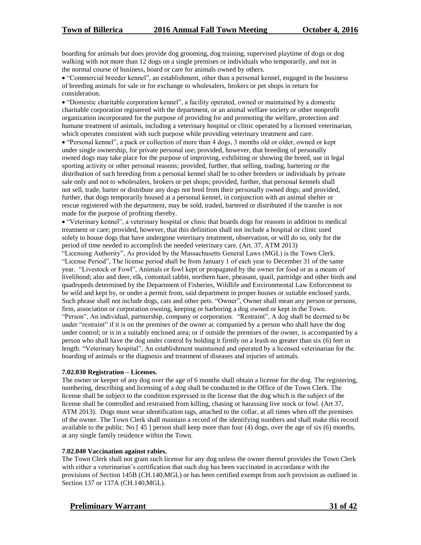boarding for animals but does provide dog grooming, dog training, supervised playtime of dogs or dog walking with not more than 12 dogs on a single premises or individuals who temporarily, and not in the normal course of business, board or care for animals owned by others.

 "Commercial breeder kennel", an establishment, other than a personal kennel, engaged in the business of breeding animals for sale or for exchange to wholesalers, brokers or pet shops in return for consideration.

 "Domestic charitable corporation kennel", a facility operated, owned or maintained by a domestic charitable corporation registered with the department, or an animal welfare society or other nonprofit organization incorporated for the purpose of providing for and promoting the welfare, protection and humane treatment of animals, including a veterinary hospital or clinic operated by a licensed veterinarian, which operates consistent with such purpose while providing veterinary treatment and care.

 "Personal kennel", a pack or collection of more than 4 dogs, 3 months old or older, owned or kept under single ownership, for private personal use; provided, however, that breeding of personally owned dogs may take place for the purpose of improving, exhibiting or showing the breed, use in legal sporting activity or other personal reasons; provided, further, that selling, trading, bartering or the distribution of such breeding from a personal kennel shall be to other breeders or individuals by private sale only and not to wholesalers, brokers or pet shops; provided, further, that personal kennels shall not sell, trade, barter or distribute any dogs not bred from their personally owned dogs; and provided, further, that dogs temporarily housed at a personal kennel, in conjunction with an animal shelter or rescue registered with the department, may be sold, traded, bartered or distributed if the transfer is not made for the purpose of profiting thereby.

 "Veterinary kennel", a veterinary hospital or clinic that boards dogs for reasons in addition to medical treatment or care; provided, however, that this definition shall not include a hospital or clinic used solely to house dogs that have undergone veterinary treatment, observation, or will do so, only for the period of time needed to accomplish the needed veterinary care. (Art. 37, ATM 2013)

"Licensing Authority", As provided by the Massachusetts General Laws (MGL) is the Town Clerk. "License Period", The license period shall be from January 1 of each year to December 31 of the same year. "Livestock or Fowl", Animals or fowl kept or propagated by the owner for food or as a means of livelihood; also and deer, elk, cottontail rabbit, northern hare, pheasant, quail, partridge and other birds and quadrupeds determined by the Department of Fisheries, Wildlife and Environmental Law Enforcement to be wild and kept by, or under a permit from, said department in proper houses or suitable enclosed yards. Such phrase shall not include dogs, cats and other pets. "Owner", Owner shall mean any person or persons, firm, association or corporation owning, keeping or harboring a dog owned or kept in the Town. "Person", An individual, partnership, company or corporation. "Restraint", A dog shall be deemed to be under "restraint" if it is on the premises of the owner ac companied by a person who shall have the dog under control; or is in a suitably enclosed area; or if outside the premises of the owner, is accompanied by a person who shall have the dog under control by holding it firmly on a leash no greater than six (6) feet in length. "Veterinary hospital", An establishment maintained and operated by a licensed veterinarian for the boarding of animals or the diagnosis and treatment of diseases and injuries of animals.

#### **7.02.030 Registration – Licenses.**

The owner or keeper of any dog over the age of 6 months shall obtain a license for the dog. The registering, numbering, describing and licensing of a dog shall be conducted in the Office of the Town Clerk. The license shall be subject to the condition expressed in the license that the dog which is the subject of the license shall be controlled and restrained from killing, chasing or harassing live stock or fowl. (Art 37, ATM 2013). Dogs must wear identification tags, attached to the collar, at all times when off the premises of the owner. The Town Clerk shall maintain a record of the identifying numbers and shall make this record available to the public. No [ 45 ] person shall keep more than four (4) dogs, over the age of six (6) months, at any single family residence within the Town.

#### **7.02.040 Vaccination against rabies.**

The Town Clerk shall not grant such license for any dog unless the owner thereof provides the Town Clerk with either a veterinarian's certification that such dog has been vaccinated in accordance with the provisions of Section 145B (CH.140,MGL) or has been certified exempt from such provision as outlined in Section 137 or 137A (CH.140,MGL).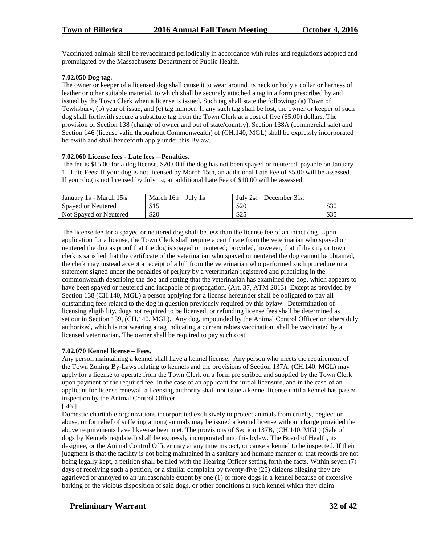Vaccinated animals shall be revaccinated periodically in accordance with rules and regulations adopted and promulgated by the Massachusetts Department of Public Health.

#### **7.02.050 Dog tag.**

The owner or keeper of a licensed dog shall cause it to wear around its neck or body a collar or harness of leather or other suitable material, to which shall be securely attached a tag in a form prescribed by and issued by the Town Clerk when a license is issued. Such tag shall state the following: (a) Town of Tewksbury, (b) year of issue, and (c) tag number. If any such tag shall be lost, the owner or keeper of such dog shall forthwith secure a substitute tag from the Town Clerk at a cost of five (\$5.00) dollars. The provision of Section 138 (change of owner and out of state/country), Section 138A (commercial sale) and Section 146 (license valid throughout Commonwealth) of (CH.140, MGL) shall be expressly incorporated herewith and shall henceforth apply under this Bylaw.

#### **7.02.060 License fees - Late fees – Penalties.**

The fee is \$15.00 for a dog license, \$20.00 if the dog has not been spayed or neutered, payable on January 1. Late Fees: If your dog is not licensed by March 15th, an additional Late Fee of \$5.00 will be assessed. If your dog is not licensed by July 1 $_{\text{st}}$ , an additional Late Fee of \$10.00 will be assessed.

| March $15th$<br>January<br>$1st -$ | March $16th - July 1st$ | December 31st<br>July<br>$\angle$ nd – |                              |
|------------------------------------|-------------------------|----------------------------------------|------------------------------|
| Spayed or Neutered                 | \$15                    | \$20                                   | \$30                         |
| Not Spayed or Neutered             | \$20                    | \$25                                   | 00 <sub>F</sub><br>$D_{\nu}$ |

The license fee for a spayed or neutered dog shall be less than the license fee of an intact dog. Upon application for a license, the Town Clerk shall require a certificate from the veterinarian who spayed or neutered the dog as proof that the dog is spayed or neutered; provided, however, that if the city or town clerk is satisfied that the certificate of the veterinarian who spayed or neutered the dog cannot be obtained, the clerk may instead accept a receipt of a bill from the veterinarian who performed such procedure or a statement signed under the penalties of perjury by a veterinarian registered and practicing in the commonwealth describing the dog and stating that the veterinarian has examined the dog, which appears to have been spayed or neutered and incapable of propagation. (Art. 37, ATM 2013) Except as provided by Section 138 (CH.140, MGL) a person applying for a license hereunder shall be obligated to pay all outstanding fees related to the dog in question previously required by this bylaw. Determination of licensing eligibility, dogs not required to be licensed, or refunding license fees shall be determined as set out in Section 139, (CH.140, MGL). Any dog, impounded by the Animal Control Officer or others duly authorized, which is not wearing a tag indicating a current rabies vaccination, shall be vaccinated by a licensed veterinarian. The owner shall be required to pay such cost.

#### **7.02.070 Kennel license – Fees.**

Any person maintaining a kennel shall have a kennel license. Any person who meets the requirement of the Town Zoning By-Laws relating to kennels and the provisions of Section 137A, (CH.140, MGL) may apply for a license to operate from the Town Clerk on a form pre scribed and supplied by the Town Clerk upon payment of the required fee. In the case of an applicant for initial licensure, and in the case of an applicant for license renewal, a licensing authority shall not issue a kennel license until a kennel has passed inspection by the Animal Control Officer.

#### [ 46 ]

Domestic charitable organizations incorporated exclusively to protect animals from cruelty, neglect or abuse, or for relief of suffering among animals may be issued a kennel license without charge provided the above requirements have likewise been met. The provisions of Section 137B, (CH.140, MGL) (Sale of dogs by Kennels regulated) shall be expressly incorporated into this bylaw. The Board of Health, its designee, or the Animal Control Officer may at any time inspect, or cause a kennel to be inspected. If their judgment is that the facility is not being maintained in a sanitary and humane manner or that records are not being legally kept, a petition shall be filed with the Hearing Officer setting forth the facts. Within seven (7) days of receiving such a petition, or a similar complaint by twenty-five (25) citizens alleging they are aggrieved or annoyed to an unreasonable extent by one (1) or more dogs in a kennel because of excessive barking or the vicious disposition of said dogs, or other conditions at such kennel which they claim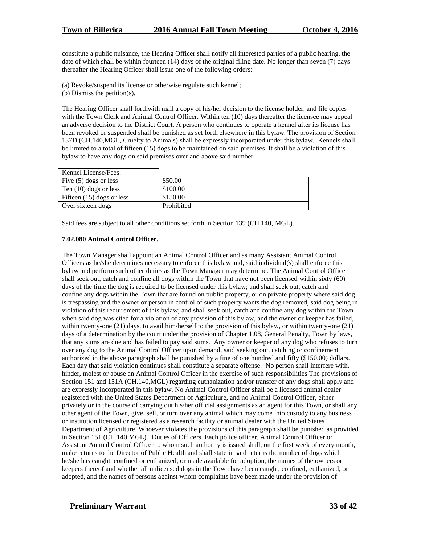constitute a public nuisance, the Hearing Officer shall notify all interested parties of a public hearing, the date of which shall be within fourteen (14) days of the original filing date. No longer than seven (7) days thereafter the Hearing Officer shall issue one of the following orders:

(a) Revoke/suspend its license or otherwise regulate such kennel;

(b) Dismiss the petition(s).

The Hearing Officer shall forthwith mail a copy of his/her decision to the license holder, and file copies with the Town Clerk and Animal Control Officer. Within ten (10) days thereafter the licensee may appeal an adverse decision to the District Court. A person who continues to operate a kennel after its license has been revoked or suspended shall be punished as set forth elsewhere in this bylaw. The provision of Section 137D (CH.140,MGL, Cruelty to Animals) shall be expressly incorporated under this bylaw. Kennels shall be limited to a total of fifteen (15) dogs to be maintained on said premises. It shall be a violation of this bylaw to have any dogs on said premises over and above said number.

| Kennel License/Fees:        |            |
|-----------------------------|------------|
| Five $(5)$ dogs or less     | \$50.00    |
| Ten $(10)$ dogs or less     | \$100.00   |
| Fifteen $(15)$ dogs or less | \$150.00   |
| Over sixteen dogs           | Prohibited |

Said fees are subject to all other conditions set forth in Section 139 (CH.140, MGL).

#### **7.02.080 Animal Control Officer.**

The Town Manager shall appoint an Animal Control Officer and as many Assistant Animal Control Officers as he/she determines necessary to enforce this bylaw and, said individual(s) shall enforce this bylaw and perform such other duties as the Town Manager may determine. The Animal Control Officer shall seek out, catch and confine all dogs within the Town that have not been licensed within sixty (60) days of the time the dog is required to be licensed under this bylaw; and shall seek out, catch and confine any dogs within the Town that are found on public property, or on private property where said dog is trespassing and the owner or person in control of such property wants the dog removed, said dog being in violation of this requirement of this bylaw; and shall seek out, catch and confine any dog within the Town when said dog was cited for a violation of any provision of this bylaw, and the owner or keeper has failed, within twenty-one (21) days, to avail him/herself to the provision of this bylaw, or within twenty-one (21) days of a determination by the court under the provision of Chapter 1.08, General Penalty, Town by laws, that any sums are due and has failed to pay said sums. Any owner or keeper of any dog who refuses to turn over any dog to the Animal Control Officer upon demand, said seeking out, catching or confinement authorized in the above paragraph shall be punished by a fine of one hundred and fifty (\$150.00) dollars. Each day that said violation continues shall constitute a separate offense. No person shall interfere with, hinder, molest or abuse an Animal Control Officer in the exercise of such responsibilities The provisions of Section 151 and 151A (CH.140,MGL) regarding euthanization and/or transfer of any dogs shall apply and are expressly incorporated in this bylaw. No Animal Control Officer shall be a licensed animal dealer registered with the United States Department of Agriculture, and no Animal Control Officer, either privately or in the course of carrying out his/her official assignments as an agent for this Town, or shall any other agent of the Town, give, sell, or turn over any animal which may come into custody to any business or institution licensed or registered as a research facility or animal dealer with the United States Department of Agriculture. Whoever violates the provisions of this paragraph shall be punished as provided in Section 151 (CH.140,MGL). Duties of Officers. Each police officer, Animal Control Officer or Assistant Animal Control Officer to whom such authority is issued shall, on the first week of every month, make returns to the Director of Public Health and shall state in said returns the number of dogs which he/she has caught, confined or euthanized, or made available for adoption, the names of the owners or keepers thereof and whether all unlicensed dogs in the Town have been caught, confined, euthanized, or adopted, and the names of persons against whom complaints have been made under the provision of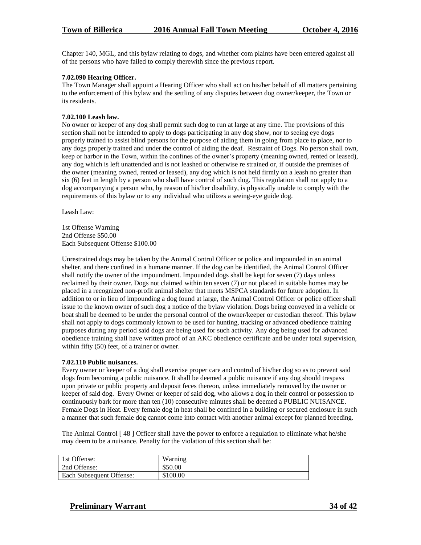Chapter 140, MGL, and this bylaw relating to dogs, and whether com plaints have been entered against all of the persons who have failed to comply therewith since the previous report.

#### **7.02.090 Hearing Officer.**

The Town Manager shall appoint a Hearing Officer who shall act on his/her behalf of all matters pertaining to the enforcement of this bylaw and the settling of any disputes between dog owner/keeper, the Town or its residents.

#### **7.02.100 Leash law.**

No owner or keeper of any dog shall permit such dog to run at large at any time. The provisions of this section shall not be intended to apply to dogs participating in any dog show, nor to seeing eye dogs properly trained to assist blind persons for the purpose of aiding them in going from place to place, nor to any dogs properly trained and under the control of aiding the deaf. Restraint of Dogs. No person shall own, keep or harbor in the Town, within the confines of the owner's property (meaning owned, rented or leased), any dog which is left unattended and is not leashed or otherwise re strained or, if outside the premises of the owner (meaning owned, rented or leased), any dog which is not held firmly on a leash no greater than six (6) feet in length by a person who shall have control of such dog. This regulation shall not apply to a dog accompanying a person who, by reason of his/her disability, is physically unable to comply with the requirements of this bylaw or to any individual who utilizes a seeing-eye guide dog.

Leash Law:

1st Offense Warning 2nd Offense \$50.00 Each Subsequent Offense \$100.00

Unrestrained dogs may be taken by the Animal Control Officer or police and impounded in an animal shelter, and there confined in a humane manner. If the dog can be identified, the Animal Control Officer shall notify the owner of the impoundment. Impounded dogs shall be kept for seven (7) days unless reclaimed by their owner. Dogs not claimed within ten seven (7) or not placed in suitable homes may be placed in a recognized non-profit animal shelter that meets MSPCA standards for future adoption. In addition to or in lieu of impounding a dog found at large, the Animal Control Officer or police officer shall issue to the known owner of such dog a notice of the bylaw violation. Dogs being conveyed in a vehicle or boat shall be deemed to be under the personal control of the owner/keeper or custodian thereof. This bylaw shall not apply to dogs commonly known to be used for hunting, tracking or advanced obedience training purposes during any period said dogs are being used for such activity. Any dog being used for advanced obedience training shall have written proof of an AKC obedience certificate and be under total supervision, within fifty (50) feet, of a trainer or owner.

#### **7.02.110 Public nuisances.**

Every owner or keeper of a dog shall exercise proper care and control of his/her dog so as to prevent said dogs from becoming a public nuisance. It shall be deemed a public nuisance if any dog should trespass upon private or public property and deposit feces thereon, unless immediately removed by the owner or keeper of said dog. Every Owner or keeper of said dog, who allows a dog in their control or possession to continuously bark for more than ten (10) consecutive minutes shall be deemed a PUBLIC NUISANCE. Female Dogs in Heat. Every female dog in heat shall be confined in a building or secured enclosure in such a manner that such female dog cannot come into contact with another animal except for planned breeding.

The Animal Control [ 48 ] Officer shall have the power to enforce a regulation to eliminate what he/she may deem to be a nuisance. Penalty for the violation of this section shall be:

| 1st Offense:             | Warning  |
|--------------------------|----------|
| 2nd Offense:             | \$50.00  |
| Each Subsequent Offense: | \$100.00 |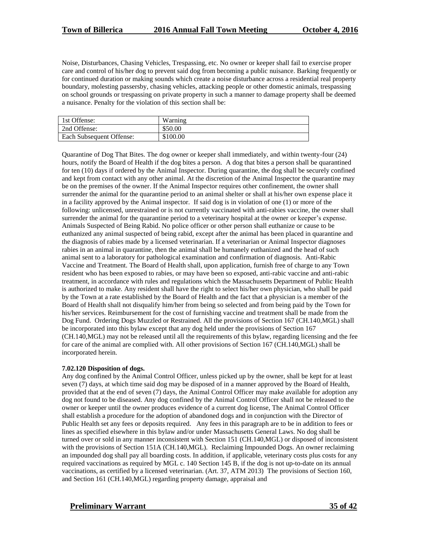Noise, Disturbances, Chasing Vehicles, Trespassing, etc. No owner or keeper shall fail to exercise proper care and control of his/her dog to prevent said dog from becoming a public nuisance. Barking frequently or for continued duration or making sounds which create a noise disturbance across a residential real property boundary, molesting passersby, chasing vehicles, attacking people or other domestic animals, trespassing on school grounds or trespassing on private property in such a manner to damage property shall be deemed a nuisance. Penalty for the violation of this section shall be:

| 1st Offense:             | Warning  |
|--------------------------|----------|
| 2nd Offense:             | \$50.00  |
| Each Subsequent Offense: | \$100.00 |

Quarantine of Dog That Bites. The dog owner or keeper shall immediately, and within twenty-four (24) hours, notify the Board of Health if the dog bites a person. A dog that bites a person shall be quarantined for ten (10) days if ordered by the Animal Inspector. During quarantine, the dog shall be securely confined and kept from contact with any other animal. At the discretion of the Animal Inspector the quarantine may be on the premises of the owner. If the Animal Inspector requires other confinement, the owner shall surrender the animal for the quarantine period to an animal shelter or shall at his/her own expense place it in a facility approved by the Animal inspector. If said dog is in violation of one (1) or more of the following: unlicensed, unrestrained or is not currently vaccinated with anti-rabies vaccine, the owner shall surrender the animal for the quarantine period to a veterinary hospital at the owner or keeper's expense. Animals Suspected of Being Rabid. No police officer or other person shall euthanize or cause to be euthanized any animal suspected of being rabid, except after the animal has been placed in quarantine and the diagnosis of rabies made by a licensed veterinarian. If a veterinarian or Animal Inspector diagnoses rabies in an animal in quarantine, then the animal shall be humanely euthanized and the head of such animal sent to a laboratory for pathological examination and confirmation of diagnosis. Anti-Rabic Vaccine and Treatment. The Board of Health shall, upon application, furnish free of charge to any Town resident who has been exposed to rabies, or may have been so exposed, anti-rabic vaccine and anti-rabic treatment, in accordance with rules and regulations which the Massachusetts Department of Public Health is authorized to make. Any resident shall have the right to select his/her own physician, who shall be paid by the Town at a rate established by the Board of Health and the fact that a physician is a member of the Board of Health shall not disqualify him/her from being so selected and from being paid by the Town for his/her services. Reimbursement for the cost of furnishing vaccine and treatment shall be made from the Dog Fund. Ordering Dogs Muzzled or Restrained. All the provisions of Section 167 (CH.140,MGL) shall be incorporated into this bylaw except that any dog held under the provisions of Section 167 (CH.140,MGL) may not be released until all the requirements of this bylaw, regarding licensing and the fee for care of the animal are complied with. All other provisions of Section 167 (CH.140,MGL) shall be incorporated herein.

#### **7.02.120 Disposition of dogs.**

Any dog confined by the Animal Control Officer, unless picked up by the owner, shall be kept for at least seven (7) days, at which time said dog may be disposed of in a manner approved by the Board of Health, provided that at the end of seven (7) days, the Animal Control Officer may make available for adoption any dog not found to be diseased. Any dog confined by the Animal Control Officer shall not be released to the owner or keeper until the owner produces evidence of a current dog license, The Animal Control Officer shall establish a procedure for the adoption of abandoned dogs and in conjunction with the Director of Public Health set any fees or deposits required. Any fees in this paragraph are to be in addition to fees or lines as specified elsewhere in this bylaw and/or under Massachusetts General Laws. No dog shall be turned over or sold in any manner inconsistent with Section 151 (CH.140,MGL) or disposed of inconsistent with the provisions of Section 151A (CH.140, MGL). Reclaiming Impounded Dogs. An owner reclaiming an impounded dog shall pay all boarding costs. In addition, if applicable, veterinary costs plus costs for any required vaccinations as required by MGL c. 140 Section 145 B, if the dog is not up-to-date on its annual vaccinations, as certified by a licensed veterinarian. (Art. 37, ATM 2013) The provisions of Section 160, and Section 161 (CH.140,MGL) regarding property damage, appraisal and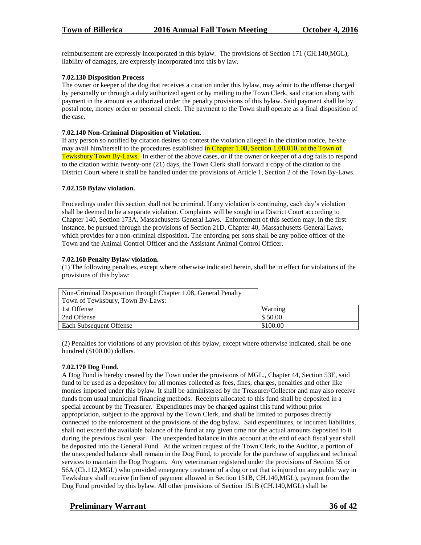reimbursement are expressly incorporated in this bylaw. The provisions of Section 171 (CH.140,MGL), liability of damages, are expressly incorporated into this by law.

#### **7.02.130 Disposition Process**

The owner or keeper of the dog that receives a citation under this bylaw, may admit to the offense charged by personally or through a duly authorized agent or by mailing to the Town Clerk, said citation along with payment in the amount as authorized under the penalty provisions of this bylaw. Said payment shall be by postal note, money order or personal check. The payment to the Town shall operate as a final disposition of the case.

#### **7.02.140 Non-Criminal Disposition of Violation.**

If any person so notified by citation desires to contest the violation alleged in the citation notice, he/she may avail him/herself to the procedures established in Chapter 1.08, Section 1.08.010, of the Town of Tewksbury Town By-Laws. In either of the above cases, or if the owner or keeper of a dog fails to respond to the citation within twenty-one (21) days, the Town Clerk shall forward a copy of the citation to the District Court where it shall be handled under the provisions of Article 1, Section 2 of the Town By-Laws.

#### **7.02.150 Bylaw violation.**

Proceedings under this section shall not be criminal. If any violation is continuing, each day's violation shall be deemed to be a separate violation. Complaints will be sought in a District Court according to Chapter 140, Section 173A, Massachusetts General Laws. Enforcement of this section may, in the first instance, be pursued through the provisions of Section 21D, Chapter 40, Massachusetts General Laws, which provides for a non-criminal disposition. The enforcing per sons shall be any police officer of the Town and the Animal Control Officer and the Assistant Animal Control Officer.

#### **7.02.160 Penalty Bylaw violation.**

(1) The following penalties, except where otherwise indicated herein, shall be in effect for violations of the provisions of this bylaw:

| Non-Criminal Disposition through Chapter 1.08, General Penalty |          |
|----------------------------------------------------------------|----------|
| Town of Tewksbury, Town By-Laws:                               |          |
| 1st Offense                                                    | Warning  |
| 2nd Offense                                                    | \$50.00  |
| Each Subsequent Offense                                        | \$100.00 |

(2) Penalties for violations of any provision of this bylaw, except where otherwise indicated, shall be one hundred (\$100.00) dollars.

#### **7.02.170 Dog Fund.**

A Dog Fund is hereby created by the Town under the provisions of MGL., Chapter 44, Section 53E, said fund to be used as a depository for all monies collected as fees, fines, charges, penalties and other like monies imposed under this bylaw. It shall be administered by the Treasurer/Collector and may also receive funds from usual municipal financing methods. Receipts allocated to this fund shall be deposited in a special account by the Treasurer. Expenditures may be charged against this fund without prior appropriation, subject to the approval by the Town Clerk, and shall be limited to purposes directly connected to the enforcement of the provisions of the dog bylaw. Said expenditures, or incurred liabilities, shall not exceed the available balance of the fund at any given time nor the actual amounts deposited to it during the previous fiscal year. The unexpended balance in this account at the end of each fiscal year shall be deposited into the General Fund. At the written request of the Town Clerk, to the Auditor, a portion of the unexpended balance shall remain in the Dog Fund, to provide for the purchase of supplies and technical services to maintain the Dog Program. Any veterinarian registered under the provisions of Section 55 or 56A (Ch.112,MGL) who provided emergency treatment of a dog or cat that is injured on any public way in Tewksbury shall receive (in lieu of payment allowed in Section 151B, CH.140,MGL), payment from the Dog Fund provided by this bylaw. All other provisions of Section 151B (CH.140,MGL) shall be

 **Preliminary Warrant 36 of 42**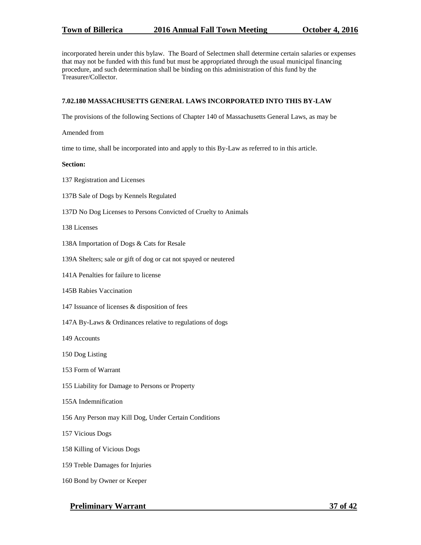incorporated herein under this bylaw. The Board of Selectmen shall determine certain salaries or expenses that may not be funded with this fund but must be appropriated through the usual municipal financing procedure, and such determination shall be binding on this administration of this fund by the Treasurer/Collector.

#### **7.02.180 MASSACHUSETTS GENERAL LAWS INCORPORATED INTO THIS BY-LAW**

The provisions of the following Sections of Chapter 140 of Massachusetts General Laws, as may be

Amended from

time to time, shall be incorporated into and apply to this By-Law as referred to in this article.

#### **Section:**

- 137 Registration and Licenses
- 137B Sale of Dogs by Kennels Regulated
- 137D No Dog Licenses to Persons Convicted of Cruelty to Animals

138 Licenses

- 138A Importation of Dogs & Cats for Resale
- 139A Shelters; sale or gift of dog or cat not spayed or neutered
- 141A Penalties for failure to license
- 145B Rabies Vaccination
- 147 Issuance of licenses & disposition of fees
- 147A By-Laws & Ordinances relative to regulations of dogs

149 Accounts

150 Dog Listing

- 153 Form of Warrant
- 155 Liability for Damage to Persons or Property
- 155A Indemnification
- 156 Any Person may Kill Dog, Under Certain Conditions
- 157 Vicious Dogs
- 158 Killing of Vicious Dogs
- 159 Treble Damages for Injuries
- 160 Bond by Owner or Keeper

#### **Preliminary Warrant 37 of 42**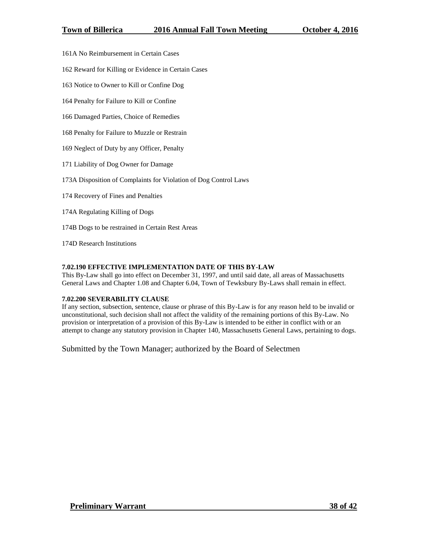- 161A No Reimbursement in Certain Cases
- 162 Reward for Killing or Evidence in Certain Cases
- 163 Notice to Owner to Kill or Confine Dog
- 164 Penalty for Failure to Kill or Confine
- 166 Damaged Parties, Choice of Remedies
- 168 Penalty for Failure to Muzzle or Restrain
- 169 Neglect of Duty by any Officer, Penalty
- 171 Liability of Dog Owner for Damage
- 173A Disposition of Complaints for Violation of Dog Control Laws
- 174 Recovery of Fines and Penalties
- 174A Regulating Killing of Dogs
- 174B Dogs to be restrained in Certain Rest Areas
- 174D Research Institutions

#### **7.02.190 EFFECTIVE IMPLEMENTATION DATE OF THIS BY-LAW**

This By-Law shall go into effect on December 31, 1997, and until said date, all areas of Massachusetts General Laws and Chapter 1.08 and Chapter 6.04, Town of Tewksbury By-Laws shall remain in effect.

#### **7.02.200 SEVERABILITY CLAUSE**

If any section, subsection, sentence, clause or phrase of this By-Law is for any reason held to be invalid or unconstitutional, such decision shall not affect the validity of the remaining portions of this By-Law. No provision or interpretation of a provision of this By-Law is intended to be either in conflict with or an attempt to change any statutory provision in Chapter 140, Massachusetts General Laws, pertaining to dogs.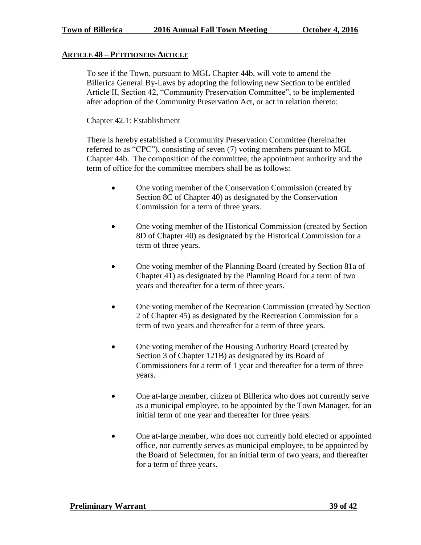# **ARTICLE 48 – PETITIONERS ARTICLE**

To see if the Town, pursuant to MGL Chapter 44b, will vote to amend the Billerica General By-Laws by adopting the following new Section to be entitled Article II, Section 42, "Community Preservation Committee", to be implemented after adoption of the Community Preservation Act, or act in relation thereto:

# Chapter 42.1: Establishment

There is hereby established a Community Preservation Committee (hereinafter referred to as "CPC"), consisting of seven (7) voting members pursuant to MGL Chapter 44b. The composition of the committee, the appointment authority and the term of office for the committee members shall be as follows:

- One voting member of the Conservation Commission (created by Section 8C of Chapter 40) as designated by the Conservation Commission for a term of three years.
- One voting member of the Historical Commission (created by Section 8D of Chapter 40) as designated by the Historical Commission for a term of three years.
- One voting member of the Planning Board (created by Section 81a of Chapter 41) as designated by the Planning Board for a term of two years and thereafter for a term of three years.
- One voting member of the Recreation Commission (created by Section 2 of Chapter 45) as designated by the Recreation Commission for a term of two years and thereafter for a term of three years.
- One voting member of the Housing Authority Board (created by Section 3 of Chapter 121B) as designated by its Board of Commissioners for a term of 1 year and thereafter for a term of three years.
- One at-large member, citizen of Billerica who does not currently serve as a municipal employee, to be appointed by the Town Manager, for an initial term of one year and thereafter for three years.
- One at-large member, who does not currently hold elected or appointed office, nor currently serves as municipal employee, to be appointed by the Board of Selectmen, for an initial term of two years, and thereafter for a term of three years.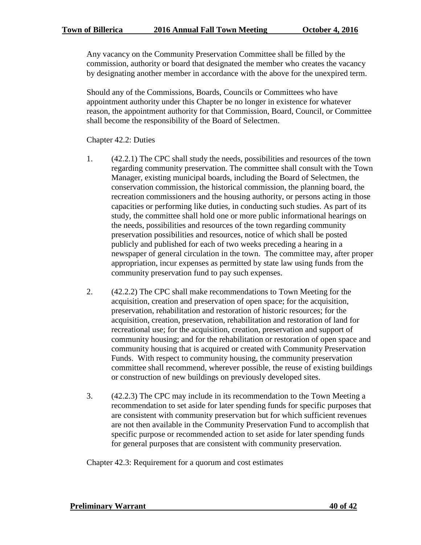Any vacancy on the Community Preservation Committee shall be filled by the commission, authority or board that designated the member who creates the vacancy by designating another member in accordance with the above for the unexpired term.

Should any of the Commissions, Boards, Councils or Committees who have appointment authority under this Chapter be no longer in existence for whatever reason, the appointment authority for that Commission, Board, Council, or Committee shall become the responsibility of the Board of Selectmen.

Chapter 42.2: Duties

- 1. (42.2.1) The CPC shall study the needs, possibilities and resources of the town regarding community preservation. The committee shall consult with the Town Manager, existing municipal boards, including the Board of Selectmen, the conservation commission, the historical commission, the planning board, the recreation commissioners and the housing authority, or persons acting in those capacities or performing like duties, in conducting such studies. As part of its study, the committee shall hold one or more public informational hearings on the needs, possibilities and resources of the town regarding community preservation possibilities and resources, notice of which shall be posted publicly and published for each of two weeks preceding a hearing in a newspaper of general circulation in the town. The committee may, after proper appropriation, incur expenses as permitted by state law using funds from the community preservation fund to pay such expenses.
- 2. (42.2.2) The CPC shall make recommendations to Town Meeting for the acquisition, creation and preservation of open space; for the acquisition, preservation, rehabilitation and restoration of historic resources; for the acquisition, creation, preservation, rehabilitation and restoration of land for recreational use; for the acquisition, creation, preservation and support of community housing; and for the rehabilitation or restoration of open space and community housing that is acquired or created with Community Preservation Funds. With respect to community housing, the community preservation committee shall recommend, wherever possible, the reuse of existing buildings or construction of new buildings on previously developed sites.
- 3. (42.2.3) The CPC may include in its recommendation to the Town Meeting a recommendation to set aside for later spending funds for specific purposes that are consistent with community preservation but for which sufficient revenues are not then available in the Community Preservation Fund to accomplish that specific purpose or recommended action to set aside for later spending funds for general purposes that are consistent with community preservation.

Chapter 42.3: Requirement for a quorum and cost estimates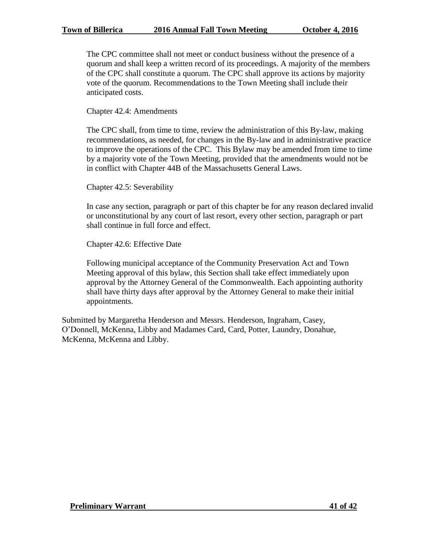The CPC committee shall not meet or conduct business without the presence of a quorum and shall keep a written record of its proceedings. A majority of the members of the CPC shall constitute a quorum. The CPC shall approve its actions by majority vote of the quorum. Recommendations to the Town Meeting shall include their anticipated costs.

Chapter 42.4: Amendments

The CPC shall, from time to time, review the administration of this By-law, making recommendations, as needed, for changes in the By-law and in administrative practice to improve the operations of the CPC. This Bylaw may be amended from time to time by a majority vote of the Town Meeting, provided that the amendments would not be in conflict with Chapter 44B of the Massachusetts General Laws.

Chapter 42.5: Severability

In case any section, paragraph or part of this chapter be for any reason declared invalid or unconstitutional by any court of last resort, every other section, paragraph or part shall continue in full force and effect.

Chapter 42.6: Effective Date

Following municipal acceptance of the Community Preservation Act and Town Meeting approval of this bylaw, this Section shall take effect immediately upon approval by the Attorney General of the Commonwealth. Each appointing authority shall have thirty days after approval by the Attorney General to make their initial appointments.

Submitted by Margaretha Henderson and Messrs. Henderson, Ingraham, Casey, O'Donnell, McKenna, Libby and Madames Card, Card, Potter, Laundry, Donahue, McKenna, McKenna and Libby.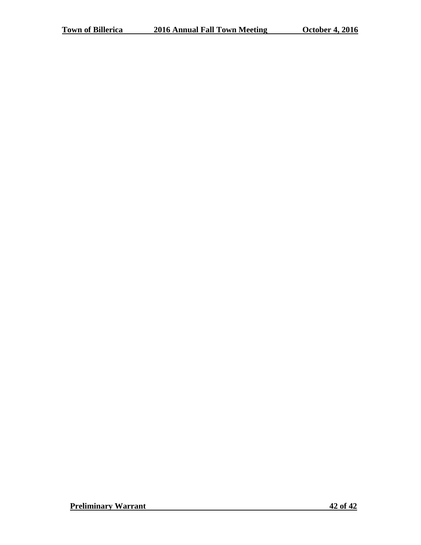**Preliminary Warrant 42 of 42**